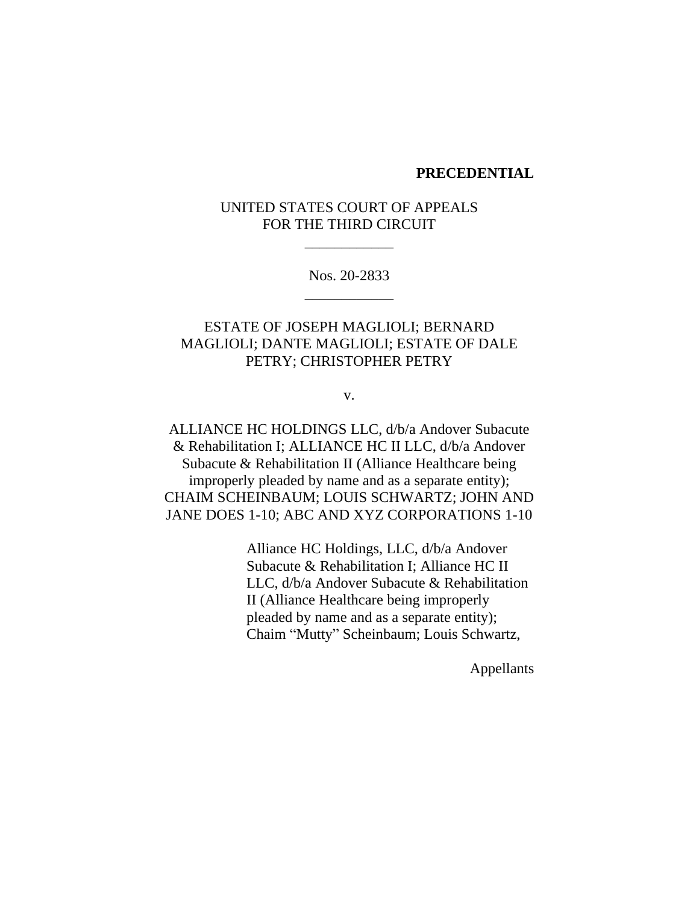### **PRECEDENTIAL**

# UNITED STATES COURT OF APPEALS FOR THE THIRD CIRCUIT

\_\_\_\_\_\_\_\_\_\_\_\_

Nos. 20-2833 \_\_\_\_\_\_\_\_\_\_\_\_

# ESTATE OF JOSEPH MAGLIOLI; BERNARD MAGLIOLI; DANTE MAGLIOLI; ESTATE OF DALE PETRY; CHRISTOPHER PETRY

v.

ALLIANCE HC HOLDINGS LLC, d/b/a Andover Subacute & Rehabilitation I; ALLIANCE HC II LLC, d/b/a Andover Subacute & Rehabilitation II (Alliance Healthcare being improperly pleaded by name and as a separate entity); CHAIM SCHEINBAUM; LOUIS SCHWARTZ; JOHN AND JANE DOES 1-10; ABC AND XYZ CORPORATIONS 1-10

> Alliance HC Holdings, LLC, d/b/a Andover Subacute & Rehabilitation I; Alliance HC II LLC, d/b/a Andover Subacute & Rehabilitation II (Alliance Healthcare being improperly pleaded by name and as a separate entity); Chaim "Mutty" Scheinbaum; Louis Schwartz,

> > Appellants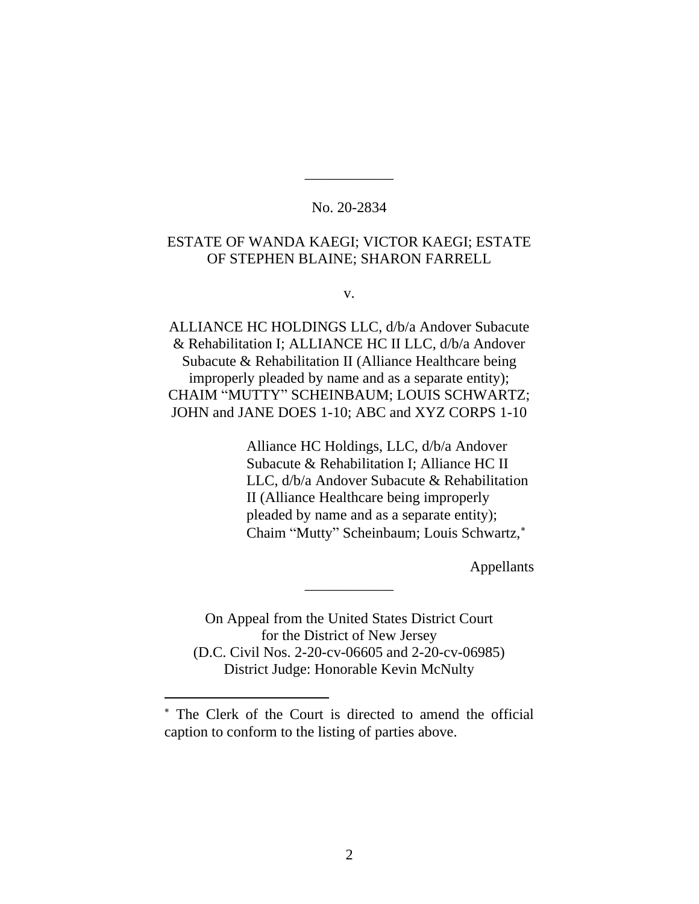## No. 20-2834

\_\_\_\_\_\_\_\_\_\_\_\_

## ESTATE OF WANDA KAEGI; VICTOR KAEGI; ESTATE OF STEPHEN BLAINE; SHARON FARRELL

v.

ALLIANCE HC HOLDINGS LLC, d/b/a Andover Subacute & Rehabilitation I; ALLIANCE HC II LLC, d/b/a Andover Subacute & Rehabilitation II (Alliance Healthcare being improperly pleaded by name and as a separate entity); CHAIM "MUTTY" SCHEINBAUM; LOUIS SCHWARTZ; JOHN and JANE DOES 1-10; ABC and XYZ CORPS 1-10

> Alliance HC Holdings, LLC, d/b/a Andover Subacute & Rehabilitation I; Alliance HC II LLC, d/b/a Andover Subacute & Rehabilitation II (Alliance Healthcare being improperly pleaded by name and as a separate entity); Chaim "Mutty" Scheinbaum; Louis Schwartz,

> > Appellants

On Appeal from the United States District Court for the District of New Jersey (D.C. Civil Nos. 2-20-cv-06605 and 2-20-cv-06985) District Judge: Honorable Kevin McNulty

\_\_\_\_\_\_\_\_\_\_\_\_

The Clerk of the Court is directed to amend the official caption to conform to the listing of parties above.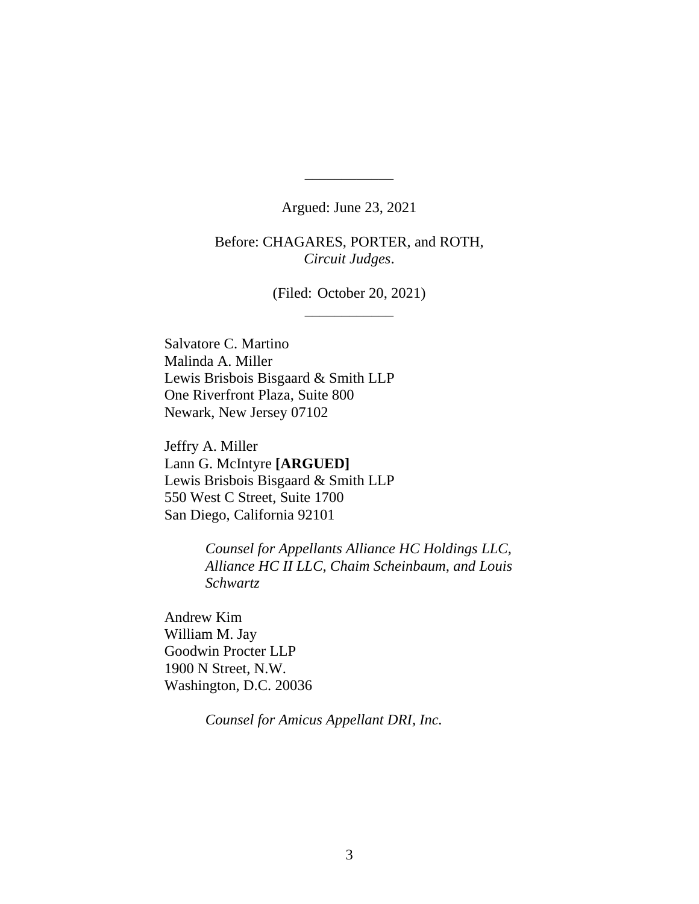Argued: June 23, 2021

\_\_\_\_\_\_\_\_\_\_\_\_

Before: CHAGARES, PORTER, and ROTH, *Circuit Judges*.

> (Filed: October 20, 2021) \_\_\_\_\_\_\_\_\_\_\_\_

Salvatore C. Martino Malinda A. Miller Lewis Brisbois Bisgaard & Smith LLP One Riverfront Plaza, Suite 800 Newark, New Jersey 07102

Jeffry A. Miller Lann G. McIntyre **[ARGUED]** Lewis Brisbois Bisgaard & Smith LLP 550 West C Street, Suite 1700 San Diego, California 92101

> *Counsel for Appellants Alliance HC Holdings LLC, Alliance HC II LLC, Chaim Scheinbaum, and Louis Schwartz*

Andrew Kim William M. Jay Goodwin Procter LLP 1900 N Street, N.W. Washington, D.C. 20036

*Counsel for Amicus Appellant DRI, Inc.*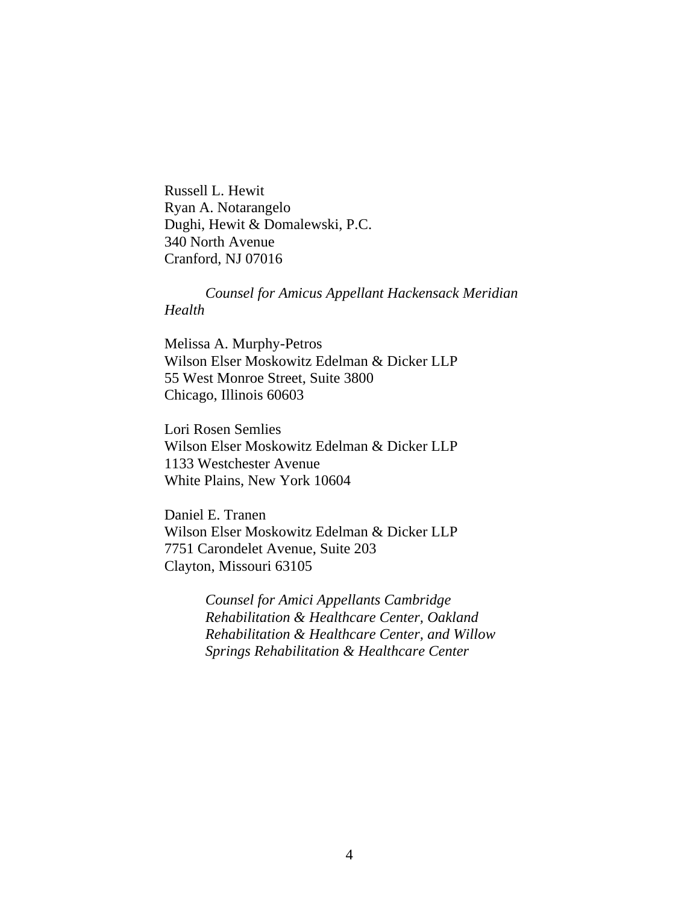Russell L. Hewit Ryan A. Notarangelo Dughi, Hewit & Domalewski, P.C. 340 North Avenue Cranford, NJ 07016

*Counsel for Amicus Appellant Hackensack Meridian Health*

Melissa A. Murphy-Petros Wilson Elser Moskowitz Edelman & Dicker LLP 55 West Monroe Street, Suite 3800 Chicago, Illinois 60603

Lori Rosen Semlies Wilson Elser Moskowitz Edelman & Dicker LLP 1133 Westchester Avenue White Plains, New York 10604

Daniel E. Tranen Wilson Elser Moskowitz Edelman & Dicker LLP 7751 Carondelet Avenue, Suite 203 Clayton, Missouri 63105

> *Counsel for Amici Appellants Cambridge Rehabilitation & Healthcare Center, Oakland Rehabilitation & Healthcare Center, and Willow Springs Rehabilitation & Healthcare Center*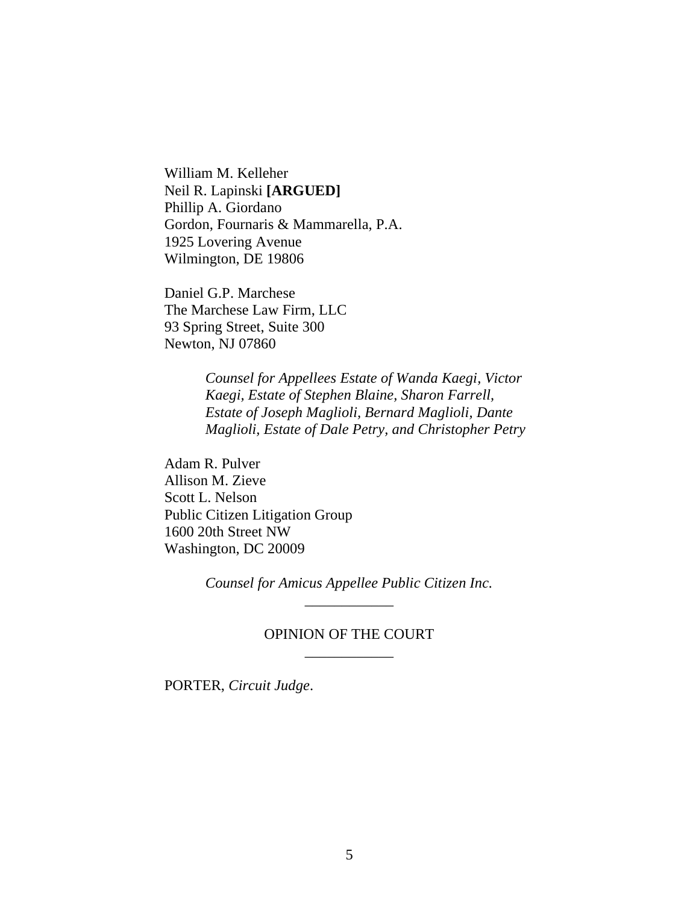William M. Kelleher Neil R. Lapinski **[ARGUED]** Phillip A. Giordano Gordon, Fournaris & Mammarella, P.A. 1925 Lovering Avenue Wilmington, DE 19806

Daniel G.P. Marchese The Marchese Law Firm, LLC 93 Spring Street, Suite 300 Newton, NJ 07860

> *Counsel for Appellees Estate of Wanda Kaegi, Victor Kaegi, Estate of Stephen Blaine, Sharon Farrell, Estate of Joseph Maglioli, Bernard Maglioli, Dante Maglioli, Estate of Dale Petry, and Christopher Petry*

Adam R. Pulver Allison M. Zieve Scott L. Nelson Public Citizen Litigation Group 1600 20th Street NW Washington, DC 20009

> *Counsel for Amicus Appellee Public Citizen Inc.* \_\_\_\_\_\_\_\_\_\_\_\_

## OPINION OF THE COURT \_\_\_\_\_\_\_\_\_\_\_\_

PORTER, *Circuit Judge*.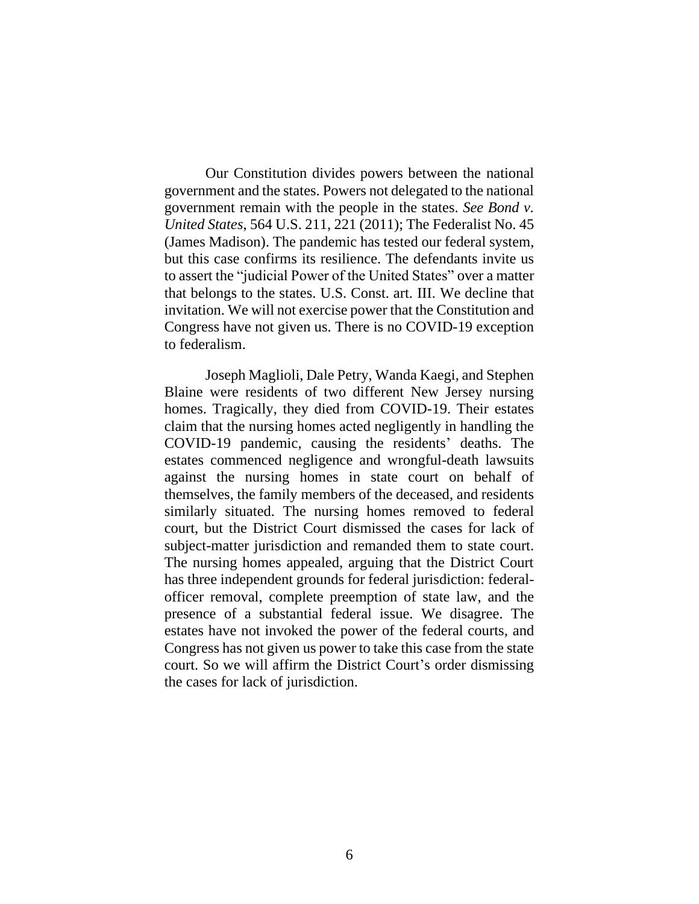Our Constitution divides powers between the national government and the states. Powers not delegated to the national government remain with the people in the states. *See Bond v. United States*, 564 U.S. 211, 221 (2011); The Federalist No. 45 (James Madison). The pandemic has tested our federal system, but this case confirms its resilience. The defendants invite us to assert the "judicial Power of the United States" over a matter that belongs to the states. U.S. Const. art. III. We decline that invitation. We will not exercise power that the Constitution and Congress have not given us. There is no COVID-19 exception to federalism.

Joseph Maglioli, Dale Petry, Wanda Kaegi, and Stephen Blaine were residents of two different New Jersey nursing homes. Tragically, they died from COVID-19. Their estates claim that the nursing homes acted negligently in handling the COVID-19 pandemic, causing the residents' deaths. The estates commenced negligence and wrongful-death lawsuits against the nursing homes in state court on behalf of themselves, the family members of the deceased, and residents similarly situated. The nursing homes removed to federal court, but the District Court dismissed the cases for lack of subject-matter jurisdiction and remanded them to state court. The nursing homes appealed, arguing that the District Court has three independent grounds for federal jurisdiction: federalofficer removal, complete preemption of state law, and the presence of a substantial federal issue. We disagree. The estates have not invoked the power of the federal courts, and Congress has not given us power to take this case from the state court. So we will affirm the District Court's order dismissing the cases for lack of jurisdiction.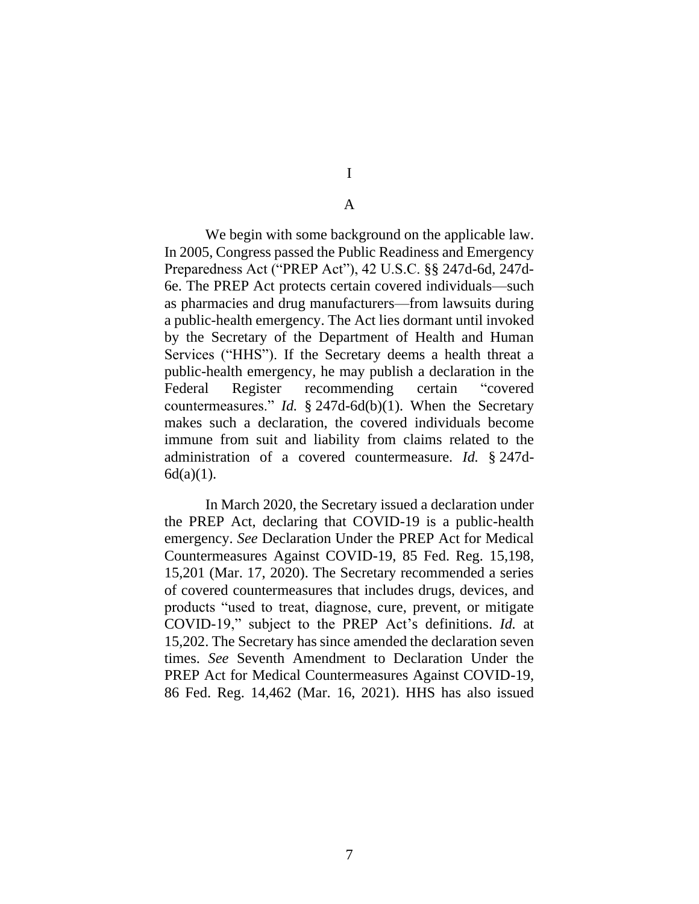# I

## A

We begin with some background on the applicable law. In 2005, Congress passed the Public Readiness and Emergency Preparedness Act ("PREP Act"), 42 U.S.C. §§ 247d-6d, 247d-6e. The PREP Act protects certain covered individuals—such as pharmacies and drug manufacturers—from lawsuits during a public-health emergency. The Act lies dormant until invoked by the Secretary of the Department of Health and Human Services ("HHS"). If the Secretary deems a health threat a public-health emergency, he may publish a declaration in the Federal Register recommending certain "covered countermeasures." *Id.* § 247d-6d(b)(1). When the Secretary makes such a declaration, the covered individuals become immune from suit and liability from claims related to the administration of a covered countermeasure. *Id.* § 247d- $6d(a)(1)$ .

In March 2020, the Secretary issued a declaration under the PREP Act, declaring that COVID-19 is a public-health emergency. *See* Declaration Under the PREP Act for Medical Countermeasures Against COVID-19, 85 Fed. Reg. 15,198, 15,201 (Mar. 17, 2020). The Secretary recommended a series of covered countermeasures that includes drugs, devices, and products "used to treat, diagnose, cure, prevent, or mitigate COVID-19," subject to the PREP Act's definitions. *Id.* at 15,202. The Secretary has since amended the declaration seven times. *See* Seventh Amendment to Declaration Under the PREP Act for Medical Countermeasures Against COVID-19, 86 Fed. Reg. 14,462 (Mar. 16, 2021). HHS has also issued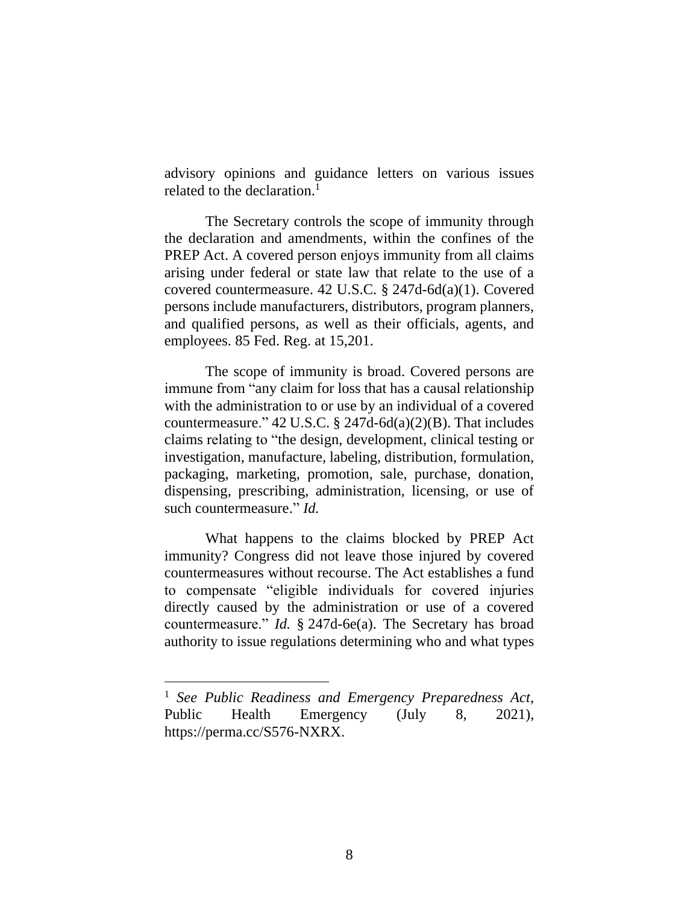advisory opinions and guidance letters on various issues related to the declaration. 1

The Secretary controls the scope of immunity through the declaration and amendments, within the confines of the PREP Act. A covered person enjoys immunity from all claims arising under federal or state law that relate to the use of a covered countermeasure. 42 U.S.C. § 247d-6d(a)(1). Covered persons include manufacturers, distributors, program planners, and qualified persons, as well as their officials, agents, and employees. 85 Fed. Reg. at 15,201.

The scope of immunity is broad. Covered persons are immune from "any claim for loss that has a causal relationship with the administration to or use by an individual of a covered countermeasure."  $42 \text{ U.S.C. }$  §  $247d - 6d(a)(2)(B)$ . That includes claims relating to "the design, development, clinical testing or investigation, manufacture, labeling, distribution, formulation, packaging, marketing, promotion, sale, purchase, donation, dispensing, prescribing, administration, licensing, or use of such countermeasure." *Id.*

What happens to the claims blocked by PREP Act immunity? Congress did not leave those injured by covered countermeasures without recourse. The Act establishes a fund to compensate "eligible individuals for covered injuries directly caused by the administration or use of a covered countermeasure." *Id.* § 247d-6e(a). The Secretary has broad authority to issue regulations determining who and what types

<sup>1</sup> *See Public Readiness and Emergency Preparedness Act*, Public Health Emergency (July 8, 2021), https://perma.cc/S576-NXRX.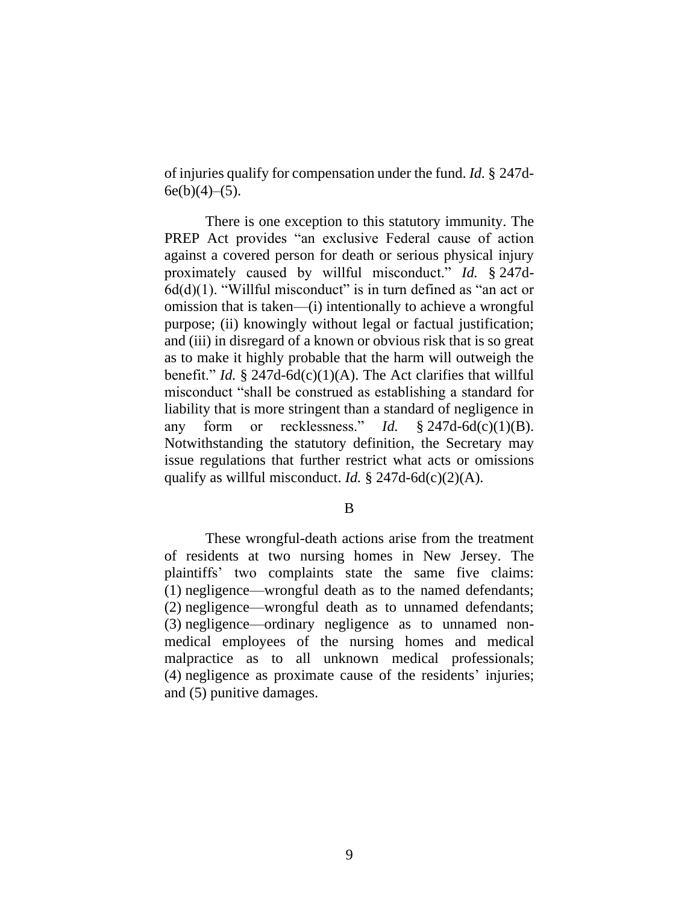of injuries qualify for compensation under the fund. *Id.* § 247d- $6e(b)(4)–(5)$ .

There is one exception to this statutory immunity. The PREP Act provides "an exclusive Federal cause of action against a covered person for death or serious physical injury proximately caused by willful misconduct." *Id.* § 247d- $6d(d)(1)$ . "Willful misconduct" is in turn defined as "an act or omission that is taken—(i) intentionally to achieve a wrongful purpose; (ii) knowingly without legal or factual justification; and (iii) in disregard of a known or obvious risk that is so great as to make it highly probable that the harm will outweigh the benefit." *Id.* § 247d-6d(c)(1)(A). The Act clarifies that willful misconduct "shall be construed as establishing a standard for liability that is more stringent than a standard of negligence in any form or recklessness." *Id.* § 247d-6d(c)(1)(B). Notwithstanding the statutory definition, the Secretary may issue regulations that further restrict what acts or omissions qualify as willful misconduct. *Id.* § 247d-6d(c)(2)(A).

B

These wrongful-death actions arise from the treatment of residents at two nursing homes in New Jersey. The plaintiffs' two complaints state the same five claims: (1) negligence—wrongful death as to the named defendants; (2) negligence—wrongful death as to unnamed defendants; (3) negligence—ordinary negligence as to unnamed nonmedical employees of the nursing homes and medical malpractice as to all unknown medical professionals; (4) negligence as proximate cause of the residents' injuries; and (5) punitive damages.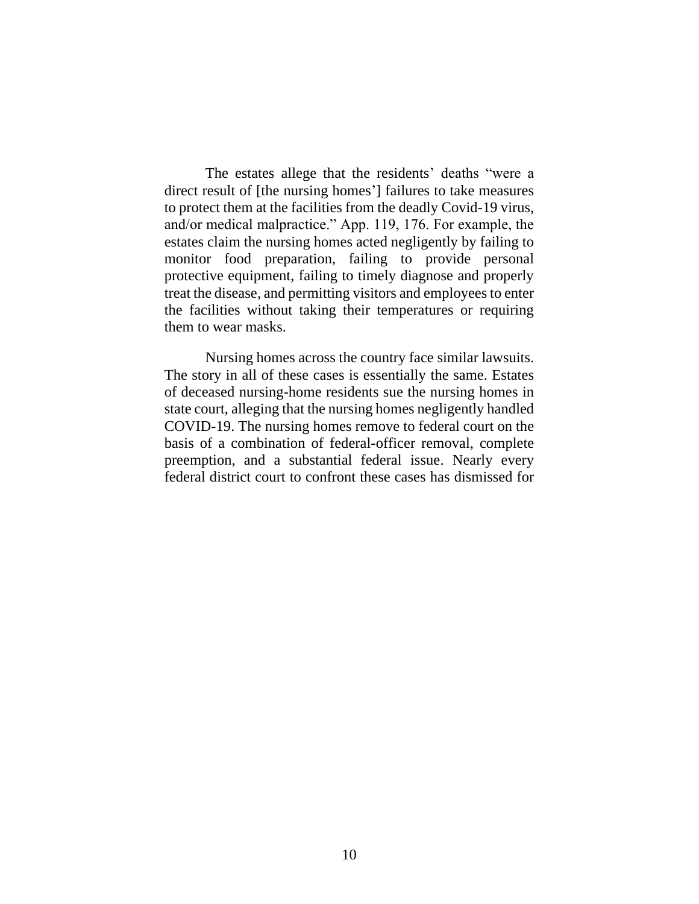The estates allege that the residents' deaths "were a direct result of [the nursing homes'] failures to take measures to protect them at the facilities from the deadly Covid-19 virus, and/or medical malpractice." App. 119, 176. For example, the estates claim the nursing homes acted negligently by failing to monitor food preparation, failing to provide personal protective equipment, failing to timely diagnose and properly treat the disease, and permitting visitors and employees to enter the facilities without taking their temperatures or requiring them to wear masks.

Nursing homes across the country face similar lawsuits. The story in all of these cases is essentially the same. Estates of deceased nursing-home residents sue the nursing homes in state court, alleging that the nursing homes negligently handled COVID-19. The nursing homes remove to federal court on the basis of a combination of federal-officer removal, complete preemption, and a substantial federal issue. Nearly every federal district court to confront these cases has dismissed for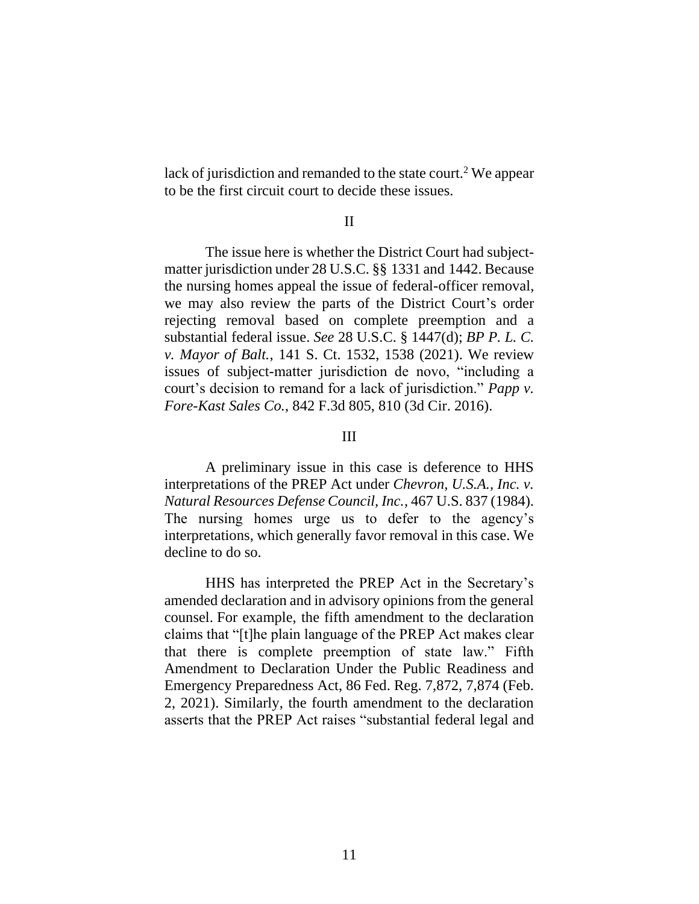lack of jurisdiction and remanded to the state court.<sup>2</sup> We appear to be the first circuit court to decide these issues.

### II

The issue here is whether the District Court had subjectmatter jurisdiction under 28 U.S.C. §§ 1331 and 1442. Because the nursing homes appeal the issue of federal-officer removal, we may also review the parts of the District Court's order rejecting removal based on complete preemption and a substantial federal issue. *See* 28 U.S.C. § 1447(d); *BP P. L. C. v. Mayor of Balt.*, 141 S. Ct. 1532, 1538 (2021). We review issues of subject-matter jurisdiction de novo, "including a court's decision to remand for a lack of jurisdiction." *Papp v. Fore-Kast Sales Co.*, 842 F.3d 805, 810 (3d Cir. 2016).

## III

A preliminary issue in this case is deference to HHS interpretations of the PREP Act under *Chevron, U.S.A., Inc. v. Natural Resources Defense Council, Inc.*, 467 U.S. 837 (1984). The nursing homes urge us to defer to the agency's interpretations, which generally favor removal in this case. We decline to do so.

HHS has interpreted the PREP Act in the Secretary's amended declaration and in advisory opinions from the general counsel. For example, the fifth amendment to the declaration claims that "[t]he plain language of the PREP Act makes clear that there is complete preemption of state law." Fifth Amendment to Declaration Under the Public Readiness and Emergency Preparedness Act, 86 Fed. Reg. 7,872, 7,874 (Feb. 2, 2021). Similarly, the fourth amendment to the declaration asserts that the PREP Act raises "substantial federal legal and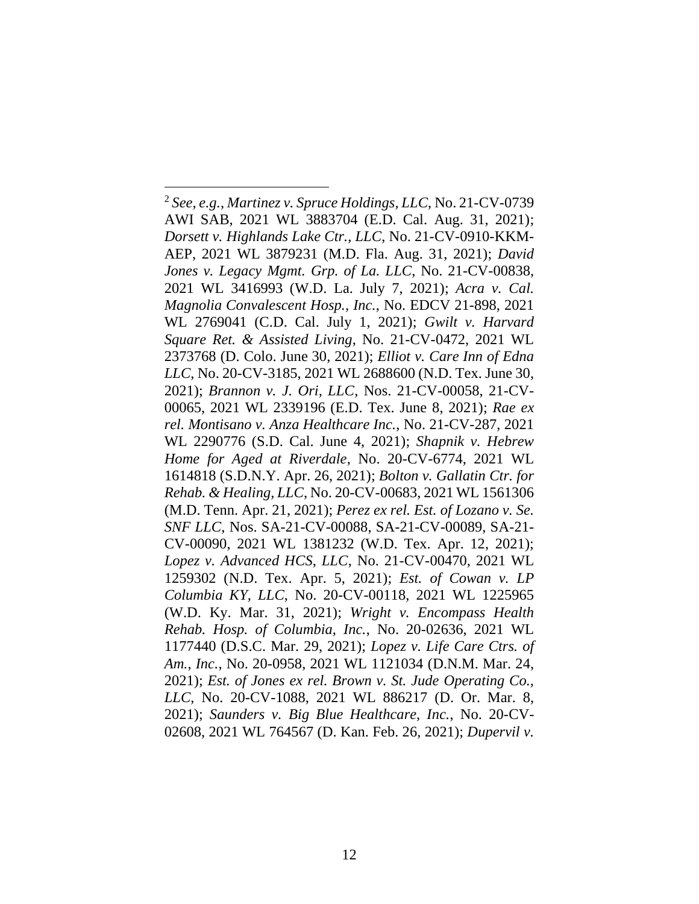<sup>2</sup> *See, e.g.*, *Martinez v. Spruce Holdings, LLC*, No. 21-CV-0739 AWI SAB, 2021 WL 3883704 (E.D. Cal. Aug. 31, 2021); *Dorsett v. Highlands Lake Ctr., LLC*, No. 21-CV-0910-KKM-AEP, 2021 WL 3879231 (M.D. Fla. Aug. 31, 2021); *David Jones v. Legacy Mgmt. Grp. of La. LLC*, No. 21-CV-00838, 2021 WL 3416993 (W.D. La. July 7, 2021); *Acra v. Cal. Magnolia Convalescent Hosp., Inc.*, No. EDCV 21-898, 2021 WL 2769041 (C.D. Cal. July 1, 2021); *Gwilt v. Harvard Square Ret. & Assisted Living*, No. 21-CV-0472, 2021 WL 2373768 (D. Colo. June 30, 2021); *Elliot v. Care Inn of Edna LLC*, No. 20-CV-3185, 2021 WL 2688600 (N.D. Tex. June 30, 2021); *Brannon v. J. Ori, LLC*, Nos. 21-CV-00058, 21-CV-00065, 2021 WL 2339196 (E.D. Tex. June 8, 2021); *Rae ex rel. Montisano v. Anza Healthcare Inc.*, No. 21-CV-287, 2021 WL 2290776 (S.D. Cal. June 4, 2021); *Shapnik v. Hebrew Home for Aged at Riverdale*, No. 20-CV-6774, 2021 WL 1614818 (S.D.N.Y. Apr. 26, 2021); *Bolton v. Gallatin Ctr. for Rehab. & Healing, LLC*, No. 20-CV-00683, 2021 WL 1561306 (M.D. Tenn. Apr. 21, 2021); *Perez ex rel. Est. of Lozano v. Se. SNF LLC*, Nos. SA-21-CV-00088, SA-21-CV-00089, SA-21- CV-00090, 2021 WL 1381232 (W.D. Tex. Apr. 12, 2021); *Lopez v. Advanced HCS, LLC*, No. 21-CV-00470, 2021 WL 1259302 (N.D. Tex. Apr. 5, 2021); *Est. of Cowan v. LP Columbia KY, LLC*, No. 20-CV-00118, 2021 WL 1225965 (W.D. Ky. Mar. 31, 2021); *Wright v. Encompass Health Rehab. Hosp. of Columbia, Inc.*, No. 20-02636, 2021 WL 1177440 (D.S.C. Mar. 29, 2021); *Lopez v. Life Care Ctrs. of Am., Inc.*, No. 20-0958, 2021 WL 1121034 (D.N.M. Mar. 24, 2021); *Est. of Jones ex rel. Brown v. St. Jude Operating Co., LLC*, No. 20-CV-1088, 2021 WL 886217 (D. Or. Mar. 8, 2021); *Saunders v. Big Blue Healthcare, Inc.*, No. 20-CV-02608, 2021 WL 764567 (D. Kan. Feb. 26, 2021); *Dupervil v.*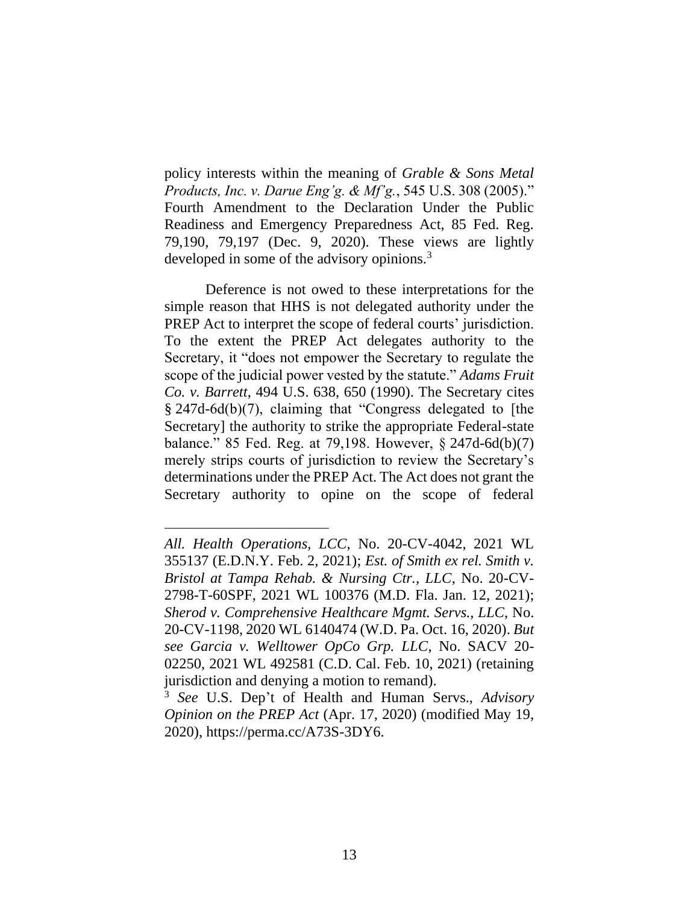policy interests within the meaning of *Grable & Sons Metal Products, Inc. v. Darue Eng'g. & Mf'g.*, 545 U.S. 308 (2005)." Fourth Amendment to the Declaration Under the Public Readiness and Emergency Preparedness Act, 85 Fed. Reg. 79,190, 79,197 (Dec. 9, 2020). These views are lightly developed in some of the advisory opinions.<sup>3</sup>

Deference is not owed to these interpretations for the simple reason that HHS is not delegated authority under the PREP Act to interpret the scope of federal courts' jurisdiction. To the extent the PREP Act delegates authority to the Secretary, it "does not empower the Secretary to regulate the scope of the judicial power vested by the statute." *Adams Fruit Co. v. Barrett*, 494 U.S. 638, 650 (1990). The Secretary cites § 247d-6d(b)(7), claiming that "Congress delegated to [the Secretary] the authority to strike the appropriate Federal-state balance." 85 Fed. Reg. at 79,198. However, § 247d-6d(b)(7) merely strips courts of jurisdiction to review the Secretary's determinations under the PREP Act. The Act does not grant the Secretary authority to opine on the scope of federal

*All. Health Operations, LCC*, No. 20-CV-4042, 2021 WL 355137 (E.D.N.Y. Feb. 2, 2021); *Est. of Smith ex rel. Smith v. Bristol at Tampa Rehab. & Nursing Ctr., LLC*, No. 20-CV-2798-T-60SPF, 2021 WL 100376 (M.D. Fla. Jan. 12, 2021); *Sherod v. Comprehensive Healthcare Mgmt. Servs., LLC*, No. 20-CV-1198, 2020 WL 6140474 (W.D. Pa. Oct. 16, 2020). *But see Garcia v. Welltower OpCo Grp. LLC*, No. SACV 20- 02250, 2021 WL 492581 (C.D. Cal. Feb. 10, 2021) (retaining jurisdiction and denying a motion to remand).

<sup>3</sup> *See* U.S. Dep't of Health and Human Servs., *Advisory Opinion on the PREP Act* (Apr. 17, 2020) (modified May 19, 2020), https://perma.cc/A73S-3DY6.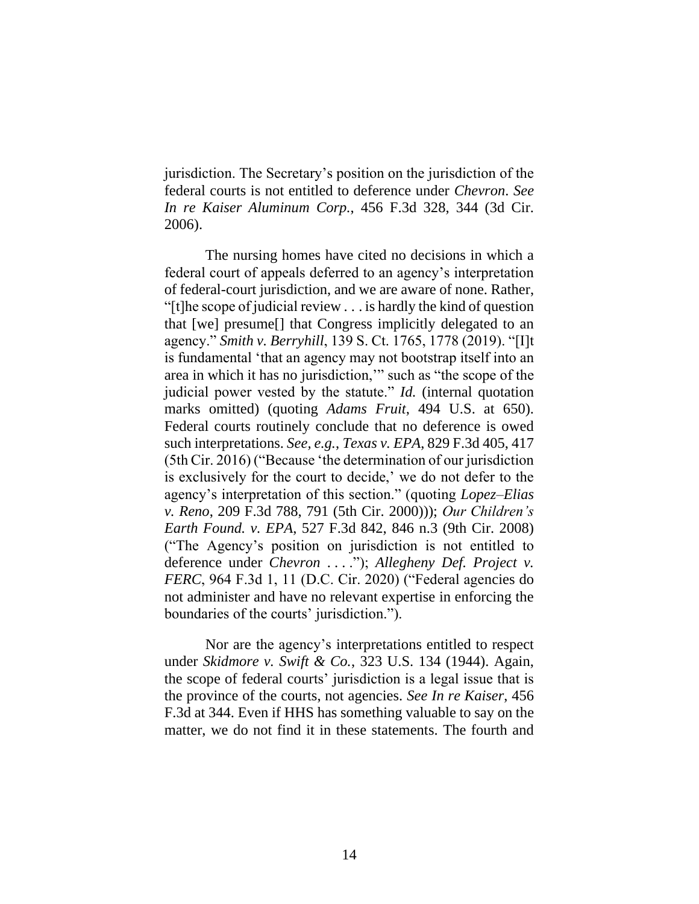jurisdiction. The Secretary's position on the jurisdiction of the federal courts is not entitled to deference under *Chevron*. *See In re Kaiser Aluminum Corp.*, 456 F.3d 328, 344 (3d Cir. 2006).

The nursing homes have cited no decisions in which a federal court of appeals deferred to an agency's interpretation of federal-court jurisdiction, and we are aware of none. Rather, "[t]he scope of judicial review . . . is hardly the kind of question that [we] presume[] that Congress implicitly delegated to an agency." *Smith v. Berryhill*, 139 S. Ct. 1765, 1778 (2019). "[I]t is fundamental 'that an agency may not bootstrap itself into an area in which it has no jurisdiction,'" such as "the scope of the judicial power vested by the statute." *Id.* (internal quotation marks omitted) (quoting *Adams Fruit*, 494 U.S. at 650). Federal courts routinely conclude that no deference is owed such interpretations. *See, e.g.*, *Texas v. EPA*, 829 F.3d 405, 417 (5th Cir. 2016) ("Because 'the determination of our jurisdiction is exclusively for the court to decide,' we do not defer to the agency's interpretation of this section." (quoting *Lopez–Elias v. Reno*, 209 F.3d 788, 791 (5th Cir. 2000))); *Our Children's Earth Found. v. EPA*, 527 F.3d 842, 846 n.3 (9th Cir. 2008) ("The Agency's position on jurisdiction is not entitled to deference under *Chevron* . . . ."); *Allegheny Def. Project v. FERC*, 964 F.3d 1, 11 (D.C. Cir. 2020) ("Federal agencies do not administer and have no relevant expertise in enforcing the boundaries of the courts' jurisdiction.").

Nor are the agency's interpretations entitled to respect under *Skidmore v. Swift & Co.*, 323 U.S. 134 (1944). Again, the scope of federal courts' jurisdiction is a legal issue that is the province of the courts, not agencies. *See In re Kaiser*, 456 F.3d at 344. Even if HHS has something valuable to say on the matter, we do not find it in these statements. The fourth and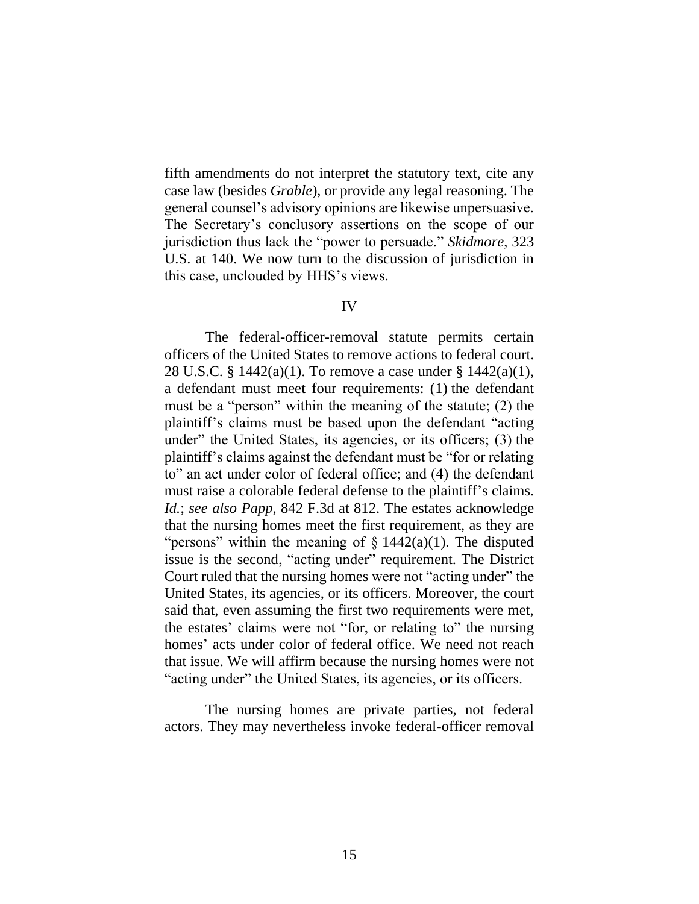fifth amendments do not interpret the statutory text, cite any case law (besides *Grable*), or provide any legal reasoning. The general counsel's advisory opinions are likewise unpersuasive. The Secretary's conclusory assertions on the scope of our jurisdiction thus lack the "power to persuade." *Skidmore*, 323 U.S. at 140. We now turn to the discussion of jurisdiction in this case, unclouded by HHS's views.

#### IV

The federal-officer-removal statute permits certain officers of the United States to remove actions to federal court. 28 U.S.C. § 1442(a)(1). To remove a case under § 1442(a)(1), a defendant must meet four requirements: (1) the defendant must be a "person" within the meaning of the statute; (2) the plaintiff's claims must be based upon the defendant "acting under" the United States, its agencies, or its officers; (3) the plaintiff's claims against the defendant must be "for or relating to" an act under color of federal office; and (4) the defendant must raise a colorable federal defense to the plaintiff's claims. *Id.*; *see also Papp*, 842 F.3d at 812. The estates acknowledge that the nursing homes meet the first requirement, as they are "persons" within the meaning of  $\S$  1442(a)(1). The disputed issue is the second, "acting under" requirement. The District Court ruled that the nursing homes were not "acting under" the United States, its agencies, or its officers. Moreover, the court said that, even assuming the first two requirements were met, the estates' claims were not "for, or relating to" the nursing homes' acts under color of federal office. We need not reach that issue. We will affirm because the nursing homes were not "acting under" the United States, its agencies, or its officers.

The nursing homes are private parties, not federal actors. They may nevertheless invoke federal-officer removal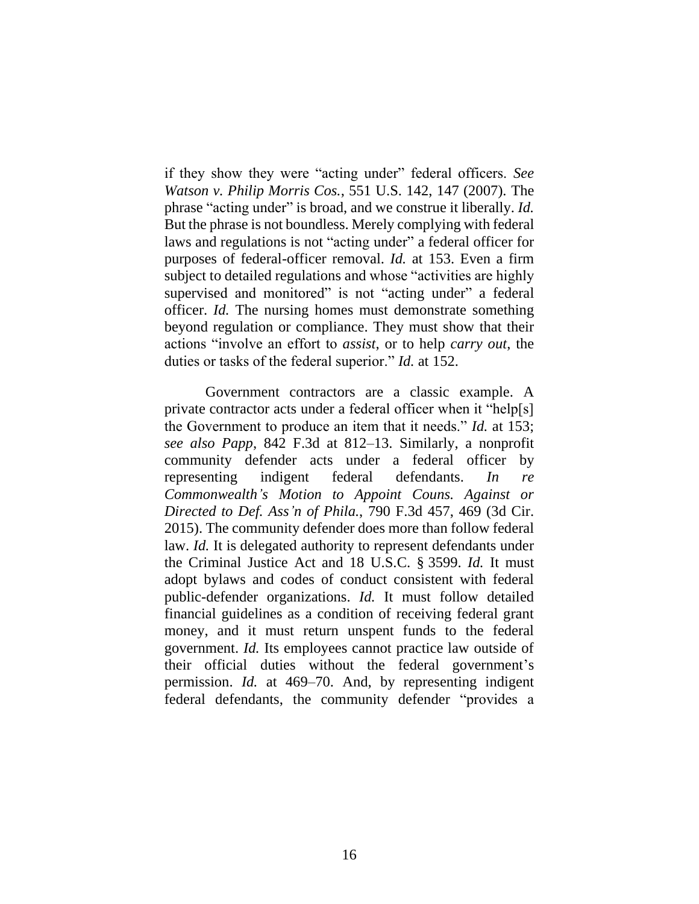if they show they were "acting under" federal officers. *See Watson v. Philip Morris Cos.*, 551 U.S. 142, 147 (2007). The phrase "acting under" is broad, and we construe it liberally. *Id.* But the phrase is not boundless. Merely complying with federal laws and regulations is not "acting under" a federal officer for purposes of federal-officer removal. *Id.* at 153. Even a firm subject to detailed regulations and whose "activities are highly supervised and monitored" is not "acting under" a federal officer. *Id.* The nursing homes must demonstrate something beyond regulation or compliance. They must show that their actions "involve an effort to *assist*, or to help *carry out*, the duties or tasks of the federal superior." *Id.* at 152.

Government contractors are a classic example. A private contractor acts under a federal officer when it "help[s] the Government to produce an item that it needs." *Id.* at 153; *see also Papp*, 842 F.3d at 812–13. Similarly, a nonprofit community defender acts under a federal officer by representing indigent federal defendants. *In re Commonwealth's Motion to Appoint Couns. Against or Directed to Def. Ass'n of Phila.*, 790 F.3d 457, 469 (3d Cir. 2015). The community defender does more than follow federal law. *Id.* It is delegated authority to represent defendants under the Criminal Justice Act and 18 U.S.C. § 3599. *Id.* It must adopt bylaws and codes of conduct consistent with federal public-defender organizations. *Id.* It must follow detailed financial guidelines as a condition of receiving federal grant money, and it must return unspent funds to the federal government. *Id.* Its employees cannot practice law outside of their official duties without the federal government's permission. *Id.* at 469–70. And, by representing indigent federal defendants, the community defender "provides a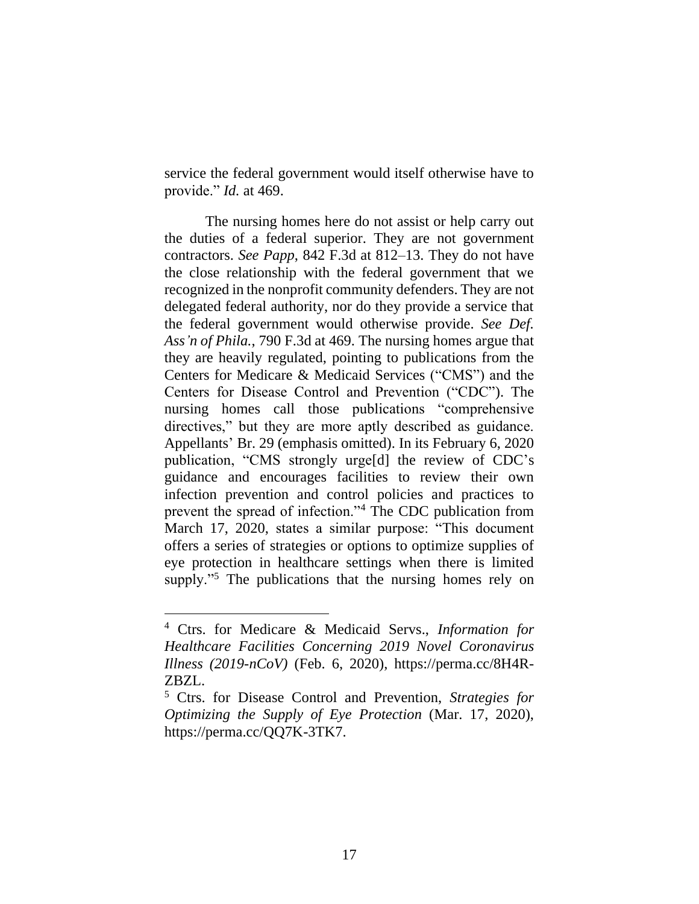service the federal government would itself otherwise have to provide." *Id.* at 469.

The nursing homes here do not assist or help carry out the duties of a federal superior. They are not government contractors. *See Papp*, 842 F.3d at 812–13. They do not have the close relationship with the federal government that we recognized in the nonprofit community defenders. They are not delegated federal authority, nor do they provide a service that the federal government would otherwise provide. *See Def. Ass'n of Phila.*, 790 F.3d at 469. The nursing homes argue that they are heavily regulated, pointing to publications from the Centers for Medicare & Medicaid Services ("CMS") and the Centers for Disease Control and Prevention ("CDC"). The nursing homes call those publications "comprehensive directives," but they are more aptly described as guidance. Appellants' Br. 29 (emphasis omitted). In its February 6, 2020 publication, "CMS strongly urge[d] the review of CDC's guidance and encourages facilities to review their own infection prevention and control policies and practices to prevent the spread of infection."<sup>4</sup> The CDC publication from March 17, 2020, states a similar purpose: "This document offers a series of strategies or options to optimize supplies of eye protection in healthcare settings when there is limited supply."<sup>5</sup> The publications that the nursing homes rely on

<sup>4</sup> Ctrs. for Medicare & Medicaid Servs., *Information for Healthcare Facilities Concerning 2019 Novel Coronavirus Illness (2019-nCoV)* (Feb. 6, 2020), https://perma.cc/8H4R-ZBZL.

<sup>5</sup> Ctrs. for Disease Control and Prevention, *Strategies for Optimizing the Supply of Eye Protection* (Mar. 17, 2020), https://perma.cc/QQ7K-3TK7.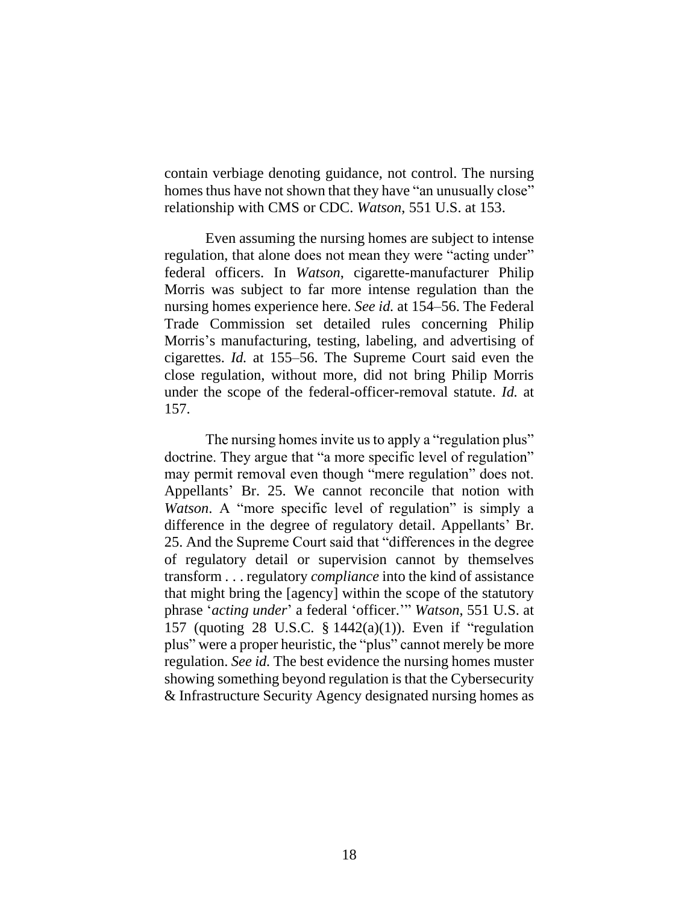contain verbiage denoting guidance, not control. The nursing homes thus have not shown that they have "an unusually close" relationship with CMS or CDC. *Watson*, 551 U.S. at 153.

Even assuming the nursing homes are subject to intense regulation, that alone does not mean they were "acting under" federal officers. In *Watson*, cigarette-manufacturer Philip Morris was subject to far more intense regulation than the nursing homes experience here. *See id.* at 154–56. The Federal Trade Commission set detailed rules concerning Philip Morris's manufacturing, testing, labeling, and advertising of cigarettes. *Id.* at 155–56. The Supreme Court said even the close regulation, without more, did not bring Philip Morris under the scope of the federal-officer-removal statute. *Id.* at 157.

The nursing homes invite us to apply a "regulation plus" doctrine. They argue that "a more specific level of regulation" may permit removal even though "mere regulation" does not. Appellants' Br. 25. We cannot reconcile that notion with *Watson*. A "more specific level of regulation" is simply a difference in the degree of regulatory detail. Appellants' Br. 25. And the Supreme Court said that "differences in the degree of regulatory detail or supervision cannot by themselves transform . . . regulatory *compliance* into the kind of assistance that might bring the [agency] within the scope of the statutory phrase '*acting under*' a federal 'officer.'" *Watson*, 551 U.S. at 157 (quoting 28 U.S.C. § 1442(a)(1)). Even if "regulation plus" were a proper heuristic, the "plus" cannot merely be more regulation. *See id.* The best evidence the nursing homes muster showing something beyond regulation is that the Cybersecurity & Infrastructure Security Agency designated nursing homes as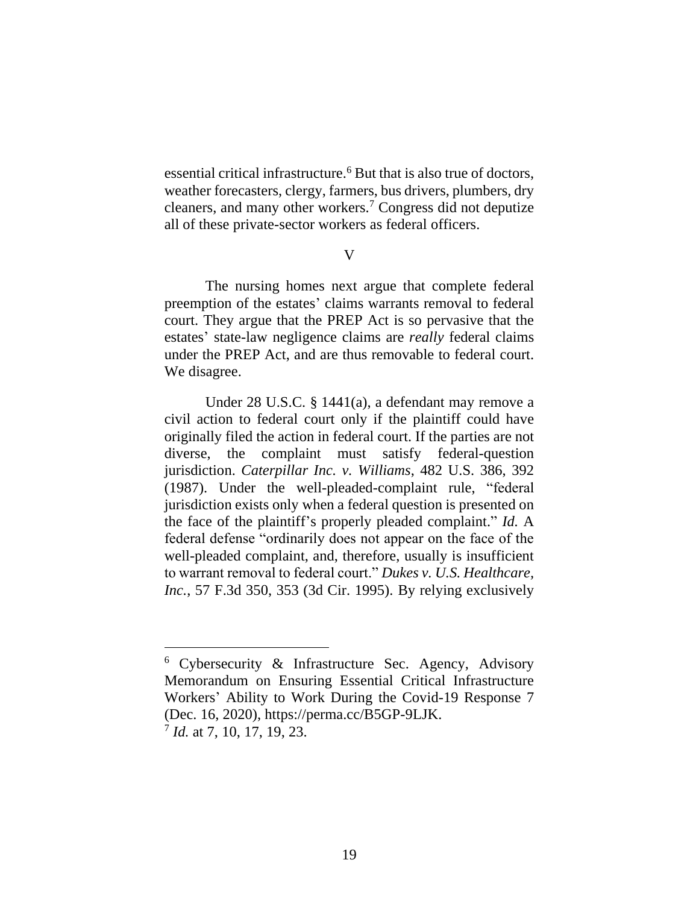essential critical infrastructure.<sup>6</sup> But that is also true of doctors, weather forecasters, clergy, farmers, bus drivers, plumbers, dry cleaners, and many other workers. <sup>7</sup> Congress did not deputize all of these private-sector workers as federal officers.

#### $\overline{V}$

The nursing homes next argue that complete federal preemption of the estates' claims warrants removal to federal court. They argue that the PREP Act is so pervasive that the estates' state-law negligence claims are *really* federal claims under the PREP Act, and are thus removable to federal court. We disagree.

Under 28 U.S.C. § 1441(a), a defendant may remove a civil action to federal court only if the plaintiff could have originally filed the action in federal court. If the parties are not diverse, the complaint must satisfy federal-question jurisdiction. *Caterpillar Inc. v. Williams*, 482 U.S. 386, 392 (1987). Under the well-pleaded-complaint rule, "federal jurisdiction exists only when a federal question is presented on the face of the plaintiff's properly pleaded complaint." *Id.* A federal defense "ordinarily does not appear on the face of the well-pleaded complaint, and, therefore, usually is insufficient to warrant removal to federal court." *Dukes v. U.S. Healthcare, Inc.*, 57 F.3d 350, 353 (3d Cir. 1995). By relying exclusively

<sup>6</sup> Cybersecurity & Infrastructure Sec. Agency, Advisory Memorandum on Ensuring Essential Critical Infrastructure Workers' Ability to Work During the Covid-19 Response 7 (Dec. 16, 2020), https://perma.cc/B5GP-9LJK. 7 *Id.* at 7, 10, 17, 19, 23.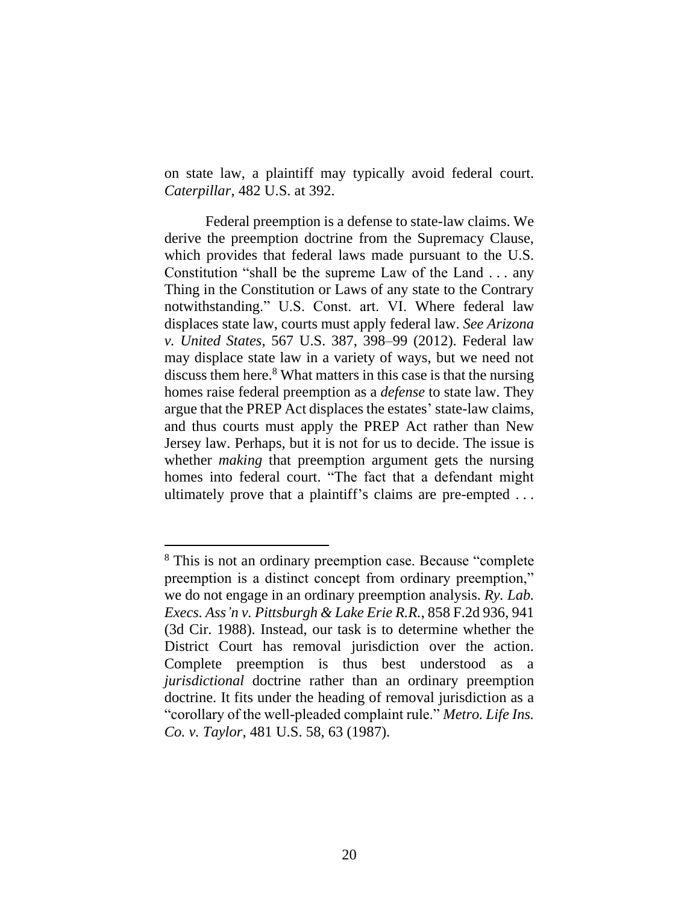on state law, a plaintiff may typically avoid federal court. *Caterpillar*, 482 U.S. at 392.

Federal preemption is a defense to state-law claims. We derive the preemption doctrine from the Supremacy Clause, which provides that federal laws made pursuant to the U.S. Constitution "shall be the supreme Law of the Land . . . any Thing in the Constitution or Laws of any state to the Contrary notwithstanding." U.S. Const. art. VI. Where federal law displaces state law, courts must apply federal law. *See Arizona v. United States*, 567 U.S. 387, 398–99 (2012). Federal law may displace state law in a variety of ways, but we need not discuss them here. <sup>8</sup> What matters in this case is that the nursing homes raise federal preemption as a *defense* to state law. They argue that the PREP Act displaces the estates' state-law claims, and thus courts must apply the PREP Act rather than New Jersey law. Perhaps, but it is not for us to decide. The issue is whether *making* that preemption argument gets the nursing homes into federal court. "The fact that a defendant might ultimately prove that a plaintiff's claims are pre-empted . . .

<sup>8</sup> This is not an ordinary preemption case. Because "complete preemption is a distinct concept from ordinary preemption," we do not engage in an ordinary preemption analysis. *Ry. Lab. Execs. Ass'n v. Pittsburgh & Lake Erie R.R.*, 858 F.2d 936, 941 (3d Cir. 1988). Instead, our task is to determine whether the District Court has removal jurisdiction over the action. Complete preemption is thus best understood as a *jurisdictional* doctrine rather than an ordinary preemption doctrine. It fits under the heading of removal jurisdiction as a "corollary of the well-pleaded complaint rule." *Metro. Life Ins. Co. v. Taylor*, 481 U.S. 58, 63 (1987).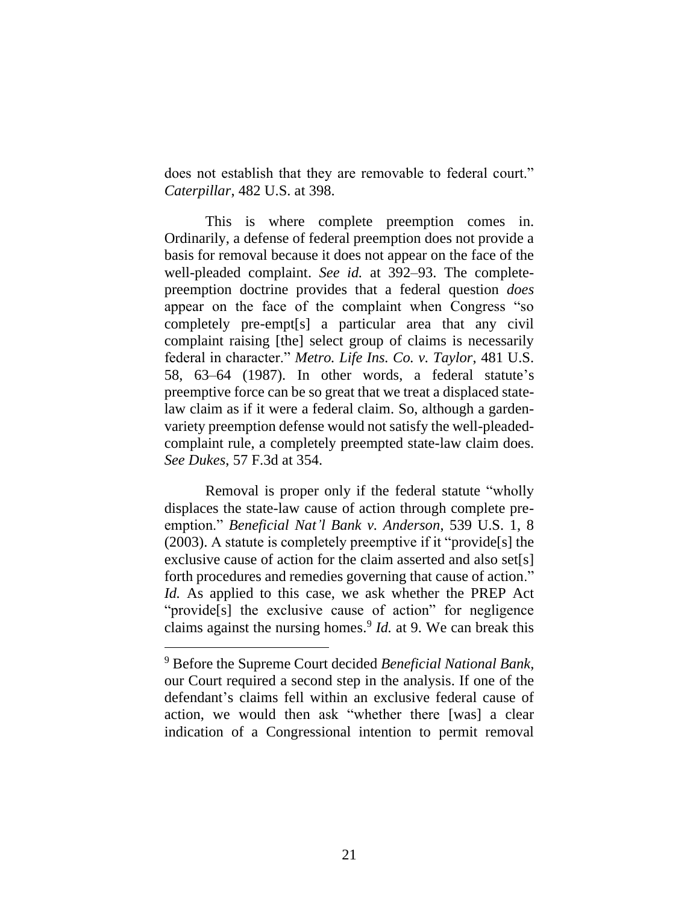does not establish that they are removable to federal court." *Caterpillar*, 482 U.S. at 398.

This is where complete preemption comes in. Ordinarily, a defense of federal preemption does not provide a basis for removal because it does not appear on the face of the well-pleaded complaint. *See id.* at 392–93. The completepreemption doctrine provides that a federal question *does* appear on the face of the complaint when Congress "so completely pre-empt[s] a particular area that any civil complaint raising [the] select group of claims is necessarily federal in character." *Metro. Life Ins. Co. v. Taylor*, 481 U.S. 58, 63–64 (1987). In other words, a federal statute's preemptive force can be so great that we treat a displaced statelaw claim as if it were a federal claim. So, although a gardenvariety preemption defense would not satisfy the well-pleadedcomplaint rule, a completely preempted state-law claim does. *See Dukes*, 57 F.3d at 354.

Removal is proper only if the federal statute "wholly displaces the state-law cause of action through complete preemption." *Beneficial Nat'l Bank v. Anderson*, 539 U.S. 1, 8 (2003). A statute is completely preemptive if it "provide[s] the exclusive cause of action for the claim asserted and also set[s] forth procedures and remedies governing that cause of action." *Id.* As applied to this case, we ask whether the PREP Act "provide<sup>[s]</sup> the exclusive cause of action" for negligence claims against the nursing homes. 9 *Id.* at 9. We can break this

<sup>9</sup> Before the Supreme Court decided *Beneficial National Bank*, our Court required a second step in the analysis. If one of the defendant's claims fell within an exclusive federal cause of action, we would then ask "whether there [was] a clear indication of a Congressional intention to permit removal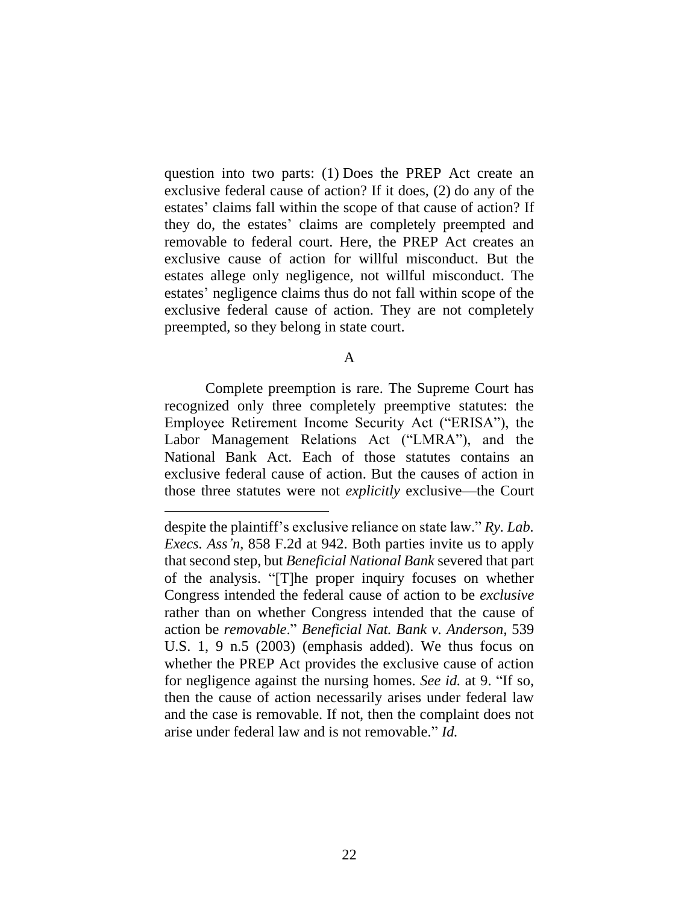question into two parts: (1) Does the PREP Act create an exclusive federal cause of action? If it does, (2) do any of the estates' claims fall within the scope of that cause of action? If they do, the estates' claims are completely preempted and removable to federal court. Here, the PREP Act creates an exclusive cause of action for willful misconduct. But the estates allege only negligence, not willful misconduct. The estates' negligence claims thus do not fall within scope of the exclusive federal cause of action. They are not completely preempted, so they belong in state court.

A

Complete preemption is rare. The Supreme Court has recognized only three completely preemptive statutes: the Employee Retirement Income Security Act ("ERISA"), the Labor Management Relations Act ("LMRA"), and the National Bank Act. Each of those statutes contains an exclusive federal cause of action. But the causes of action in those three statutes were not *explicitly* exclusive—the Court

despite the plaintiff's exclusive reliance on state law." *Ry. Lab. Execs. Ass'n*, 858 F.2d at 942. Both parties invite us to apply that second step, but *Beneficial National Bank* severed that part of the analysis. "[T]he proper inquiry focuses on whether Congress intended the federal cause of action to be *exclusive* rather than on whether Congress intended that the cause of action be *removable*." *Beneficial Nat. Bank v. Anderson*, 539 U.S. 1, 9 n.5 (2003) (emphasis added). We thus focus on whether the PREP Act provides the exclusive cause of action for negligence against the nursing homes. *See id.* at 9. "If so, then the cause of action necessarily arises under federal law and the case is removable. If not, then the complaint does not arise under federal law and is not removable." *Id.*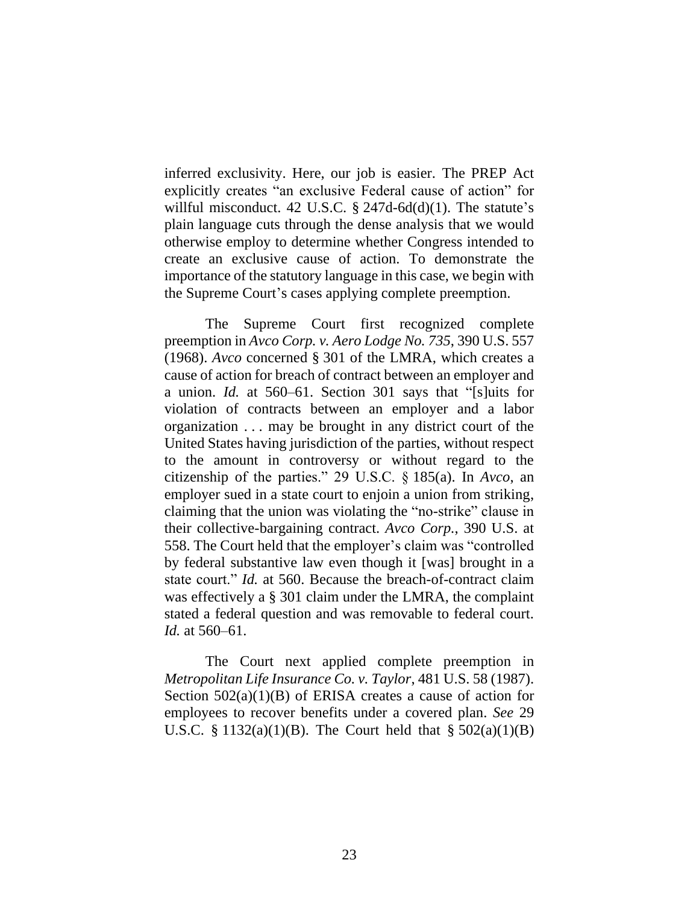inferred exclusivity. Here, our job is easier. The PREP Act explicitly creates "an exclusive Federal cause of action" for willful misconduct. 42 U.S.C. § 247d-6d(d)(1). The statute's plain language cuts through the dense analysis that we would otherwise employ to determine whether Congress intended to create an exclusive cause of action. To demonstrate the importance of the statutory language in this case, we begin with the Supreme Court's cases applying complete preemption.

The Supreme Court first recognized complete preemption in *Avco Corp. v. Aero Lodge No. 735*, 390 U.S. 557 (1968). *Avco* concerned § 301 of the LMRA, which creates a cause of action for breach of contract between an employer and a union. *Id.* at 560–61. Section 301 says that "[s]uits for violation of contracts between an employer and a labor organization . . . may be brought in any district court of the United States having jurisdiction of the parties, without respect to the amount in controversy or without regard to the citizenship of the parties." 29 U.S.C. § 185(a). In *Avco*, an employer sued in a state court to enjoin a union from striking, claiming that the union was violating the "no-strike" clause in their collective-bargaining contract. *Avco Corp.*, 390 U.S. at 558. The Court held that the employer's claim was "controlled by federal substantive law even though it [was] brought in a state court." *Id.* at 560. Because the breach-of-contract claim was effectively a § 301 claim under the LMRA, the complaint stated a federal question and was removable to federal court. *Id.* at 560–61.

The Court next applied complete preemption in *Metropolitan Life Insurance Co. v. Taylor*, 481 U.S. 58 (1987). Section  $502(a)(1)(B)$  of ERISA creates a cause of action for employees to recover benefits under a covered plan. *See* 29 U.S.C.  $\S 1132(a)(1)(B)$ . The Court held that  $\S 502(a)(1)(B)$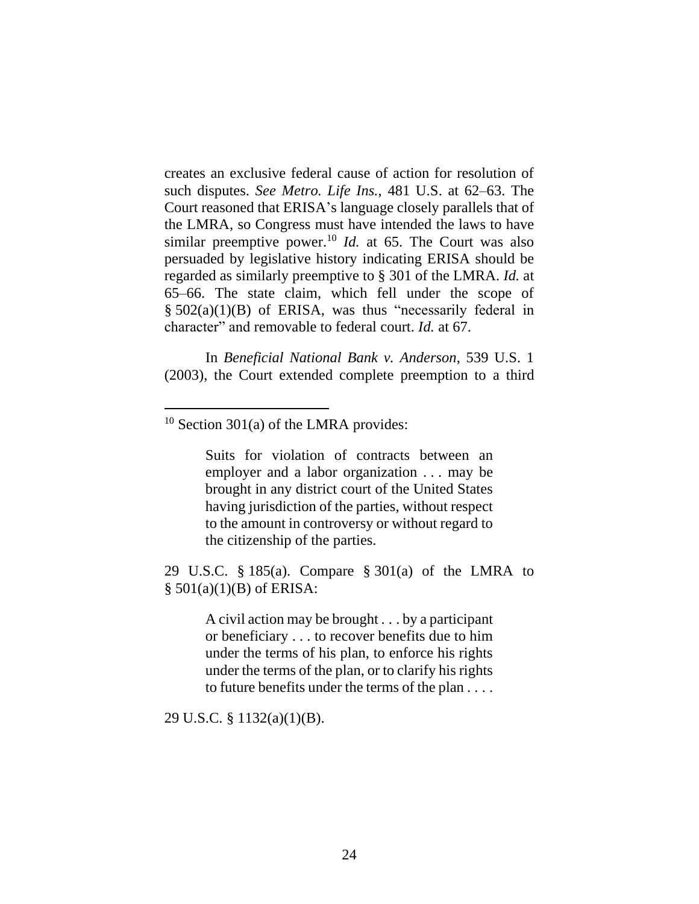creates an exclusive federal cause of action for resolution of such disputes. *See Metro. Life Ins.*, 481 U.S. at 62–63. The Court reasoned that ERISA's language closely parallels that of the LMRA, so Congress must have intended the laws to have similar preemptive power.<sup>10</sup> *Id.* at 65. The Court was also persuaded by legislative history indicating ERISA should be regarded as similarly preemptive to § 301 of the LMRA. *Id.* at 65–66. The state claim, which fell under the scope of § 502(a)(1)(B) of ERISA, was thus "necessarily federal in character" and removable to federal court. *Id.* at 67.

In *Beneficial National Bank v. Anderson*, 539 U.S. 1 (2003), the Court extended complete preemption to a third

Suits for violation of contracts between an employer and a labor organization . . . may be brought in any district court of the United States having jurisdiction of the parties, without respect to the amount in controversy or without regard to the citizenship of the parties.

29 U.S.C. § 185(a). Compare § 301(a) of the LMRA to  $§ 501(a)(1)(B)$  of ERISA:

> A civil action may be brought . . . by a participant or beneficiary . . . to recover benefits due to him under the terms of his plan, to enforce his rights under the terms of the plan, or to clarify his rights to future benefits under the terms of the plan . . . .

29 U.S.C. § 1132(a)(1)(B).

 $10$  Section 301(a) of the LMRA provides: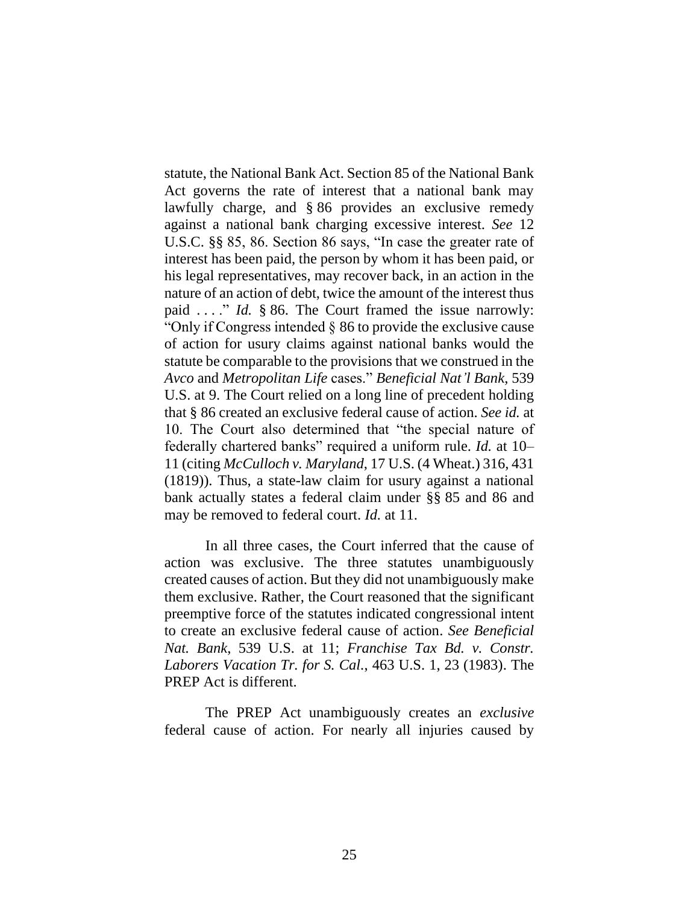statute, the National Bank Act. Section 85 of the National Bank Act governs the rate of interest that a national bank may lawfully charge, and § 86 provides an exclusive remedy against a national bank charging excessive interest. *See* 12 U.S.C. §§ 85, 86. Section 86 says, "In case the greater rate of interest has been paid, the person by whom it has been paid, or his legal representatives, may recover back, in an action in the nature of an action of debt, twice the amount of the interest thus paid . . . ." *Id.* § 86. The Court framed the issue narrowly: "Only if Congress intended § 86 to provide the exclusive cause of action for usury claims against national banks would the statute be comparable to the provisions that we construed in the *Avco* and *Metropolitan Life* cases." *Beneficial Nat'l Bank*, 539 U.S. at 9. The Court relied on a long line of precedent holding that § 86 created an exclusive federal cause of action. *See id.* at 10. The Court also determined that "the special nature of federally chartered banks" required a uniform rule. *Id.* at 10– 11 (citing *McCulloch v. Maryland*, 17 U.S. (4 Wheat.) 316, 431 (1819)). Thus, a state-law claim for usury against a national bank actually states a federal claim under §§ 85 and 86 and may be removed to federal court. *Id.* at 11.

In all three cases, the Court inferred that the cause of action was exclusive. The three statutes unambiguously created causes of action. But they did not unambiguously make them exclusive. Rather, the Court reasoned that the significant preemptive force of the statutes indicated congressional intent to create an exclusive federal cause of action. *See Beneficial Nat. Bank*, 539 U.S. at 11; *Franchise Tax Bd. v. Constr. Laborers Vacation Tr. for S. Cal.*, 463 U.S. 1, 23 (1983). The PREP Act is different.

The PREP Act unambiguously creates an *exclusive* federal cause of action. For nearly all injuries caused by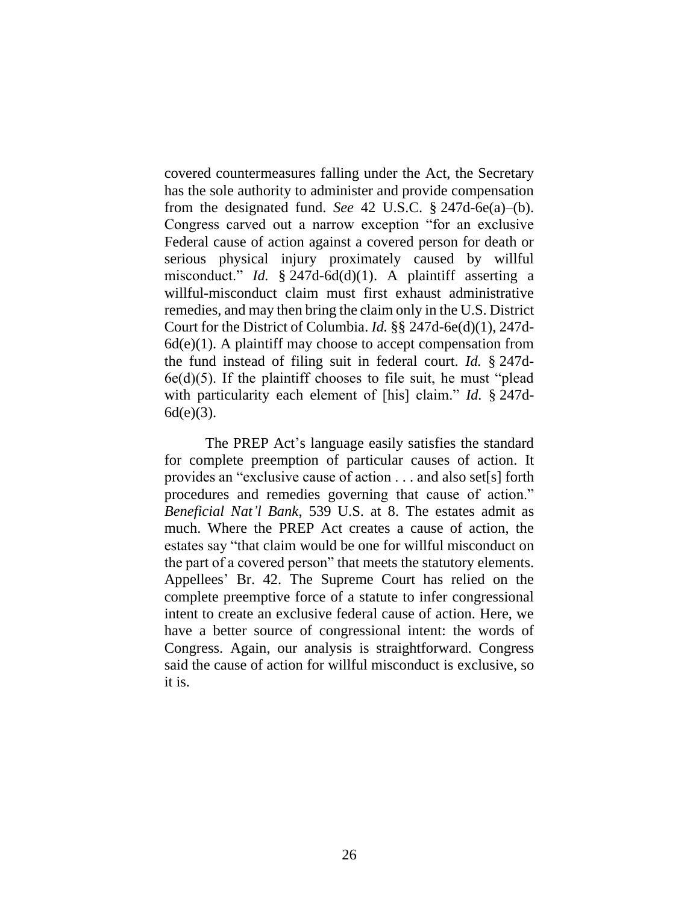covered countermeasures falling under the Act, the Secretary has the sole authority to administer and provide compensation from the designated fund. *See* 42 U.S.C. § 247d-6e(a)–(b). Congress carved out a narrow exception "for an exclusive Federal cause of action against a covered person for death or serious physical injury proximately caused by willful misconduct." *Id.* § 247d-6d(d)(1). A plaintiff asserting a willful-misconduct claim must first exhaust administrative remedies, and may then bring the claim only in the U.S. District Court for the District of Columbia. *Id.* §§ 247d-6e(d)(1), 247d- $6d(e)(1)$ . A plaintiff may choose to accept compensation from the fund instead of filing suit in federal court. *Id.* § 247d- $6e(d)(5)$ . If the plaintiff chooses to file suit, he must "plead" with particularity each element of [his] claim." *Id.* § 247d-6d(e)(3).

The PREP Act's language easily satisfies the standard for complete preemption of particular causes of action. It provides an "exclusive cause of action . . . and also set[s] forth procedures and remedies governing that cause of action." *Beneficial Nat'l Bank*, 539 U.S. at 8. The estates admit as much. Where the PREP Act creates a cause of action, the estates say "that claim would be one for willful misconduct on the part of a covered person" that meets the statutory elements. Appellees' Br. 42. The Supreme Court has relied on the complete preemptive force of a statute to infer congressional intent to create an exclusive federal cause of action. Here, we have a better source of congressional intent: the words of Congress. Again, our analysis is straightforward. Congress said the cause of action for willful misconduct is exclusive, so it is.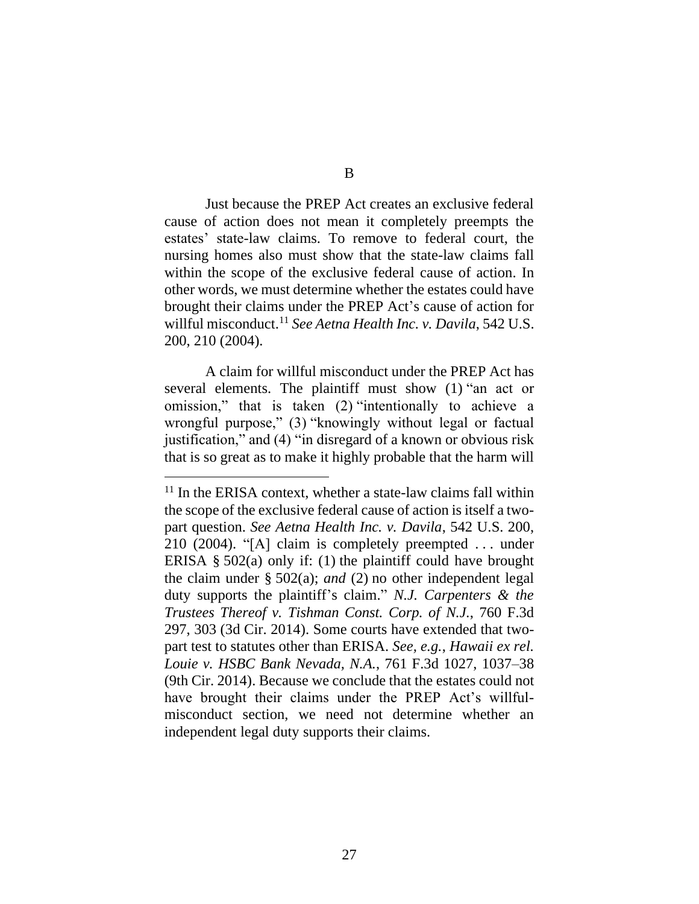Just because the PREP Act creates an exclusive federal cause of action does not mean it completely preempts the estates' state-law claims. To remove to federal court, the nursing homes also must show that the state-law claims fall within the scope of the exclusive federal cause of action. In other words, we must determine whether the estates could have brought their claims under the PREP Act's cause of action for willful misconduct. <sup>11</sup> *See Aetna Health Inc. v. Davila*, 542 U.S. 200, 210 (2004).

A claim for willful misconduct under the PREP Act has several elements. The plaintiff must show (1) "an act or omission," that is taken (2) "intentionally to achieve a wrongful purpose," (3) "knowingly without legal or factual justification," and (4) "in disregard of a known or obvious risk that is so great as to make it highly probable that the harm will

 $11$  In the ERISA context, whether a state-law claims fall within the scope of the exclusive federal cause of action is itself a twopart question. *See Aetna Health Inc. v. Davila*, 542 U.S. 200, 210 (2004). "[A] claim is completely preempted . . . under ERISA § 502(a) only if: (1) the plaintiff could have brought the claim under § 502(a); *and* (2) no other independent legal duty supports the plaintiff's claim." *N.J. Carpenters & the Trustees Thereof v. Tishman Const. Corp. of N.J.*, 760 F.3d 297, 303 (3d Cir. 2014). Some courts have extended that twopart test to statutes other than ERISA. *See, e.g.*, *Hawaii ex rel. Louie v. HSBC Bank Nevada, N.A.*, 761 F.3d 1027, 1037–38 (9th Cir. 2014). Because we conclude that the estates could not have brought their claims under the PREP Act's willfulmisconduct section, we need not determine whether an independent legal duty supports their claims.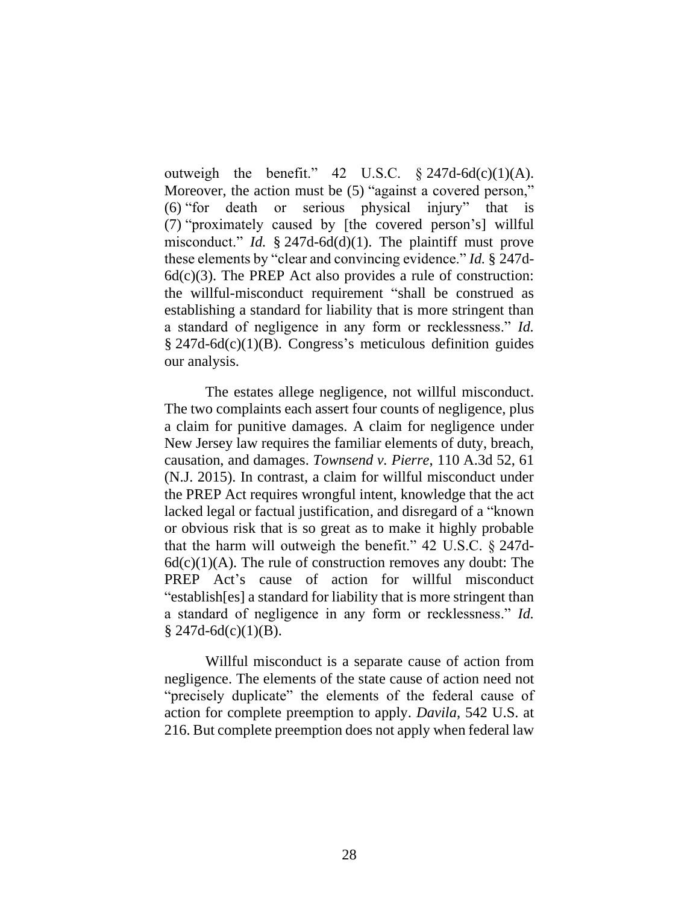outweigh the benefit." 42 U.S.C.  $\S$  247d-6d(c)(1)(A). Moreover, the action must be  $(5)$  "against a covered person," (6) "for death or serious physical injury" that is (7) "proximately caused by [the covered person's] willful misconduct." *Id.* § 247d-6d(d)(1). The plaintiff must prove these elements by "clear and convincing evidence." *Id.* § 247d- $6d(c)(3)$ . The PREP Act also provides a rule of construction: the willful-misconduct requirement "shall be construed as establishing a standard for liability that is more stringent than a standard of negligence in any form or recklessness." *Id.* § 247d-6d(c)(1)(B). Congress's meticulous definition guides our analysis.

The estates allege negligence, not willful misconduct. The two complaints each assert four counts of negligence, plus a claim for punitive damages. A claim for negligence under New Jersey law requires the familiar elements of duty, breach, causation, and damages. *Townsend v. Pierre*, 110 A.3d 52, 61 (N.J. 2015). In contrast, a claim for willful misconduct under the PREP Act requires wrongful intent, knowledge that the act lacked legal or factual justification, and disregard of a "known or obvious risk that is so great as to make it highly probable that the harm will outweigh the benefit." 42 U.S.C. § 247d- $6d(c)(1)(A)$ . The rule of construction removes any doubt: The PREP Act's cause of action for willful misconduct "establish[es] a standard for liability that is more stringent than a standard of negligence in any form or recklessness." *Id.*  $§$  247d-6d(c)(1)(B).

Willful misconduct is a separate cause of action from negligence. The elements of the state cause of action need not "precisely duplicate" the elements of the federal cause of action for complete preemption to apply. *Davila*, 542 U.S. at 216. But complete preemption does not apply when federal law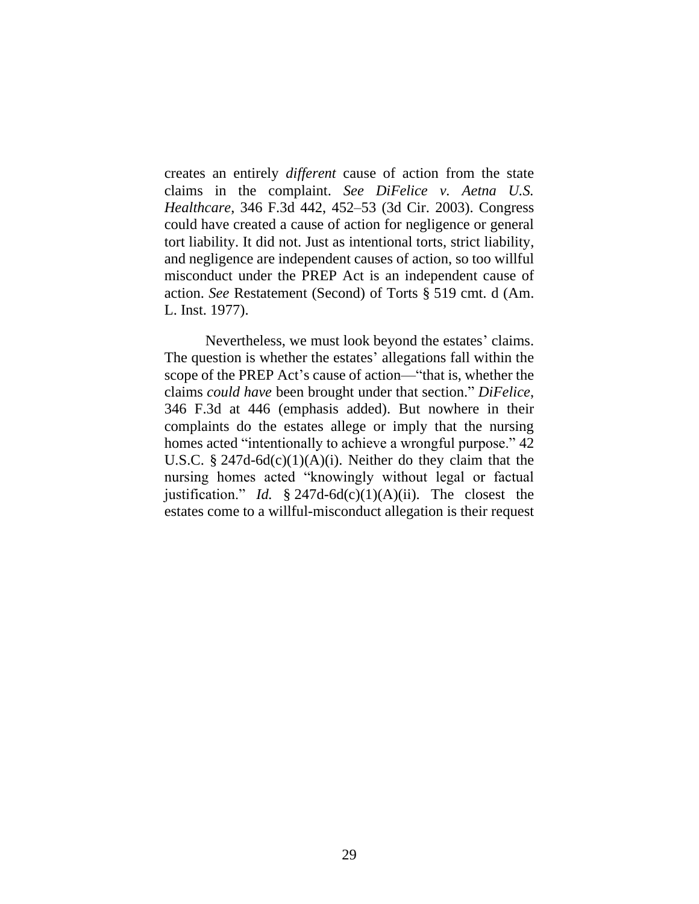creates an entirely *different* cause of action from the state claims in the complaint. *See DiFelice v. Aetna U.S. Healthcare*, 346 F.3d 442, 452–53 (3d Cir. 2003). Congress could have created a cause of action for negligence or general tort liability. It did not. Just as intentional torts, strict liability, and negligence are independent causes of action, so too willful misconduct under the PREP Act is an independent cause of action. *See* Restatement (Second) of Torts § 519 cmt. d (Am. L. Inst. 1977).

Nevertheless, we must look beyond the estates' claims. The question is whether the estates' allegations fall within the scope of the PREP Act's cause of action—"that is, whether the claims *could have* been brought under that section." *DiFelice*, 346 F.3d at 446 (emphasis added). But nowhere in their complaints do the estates allege or imply that the nursing homes acted "intentionally to achieve a wrongful purpose." 42 U.S.C. § 247d-6d $(c)(1)(A)(i)$ . Neither do they claim that the nursing homes acted "knowingly without legal or factual justification." *Id.* § 247d-6d(c)(1)(A)(ii). The closest the estates come to a willful-misconduct allegation is their request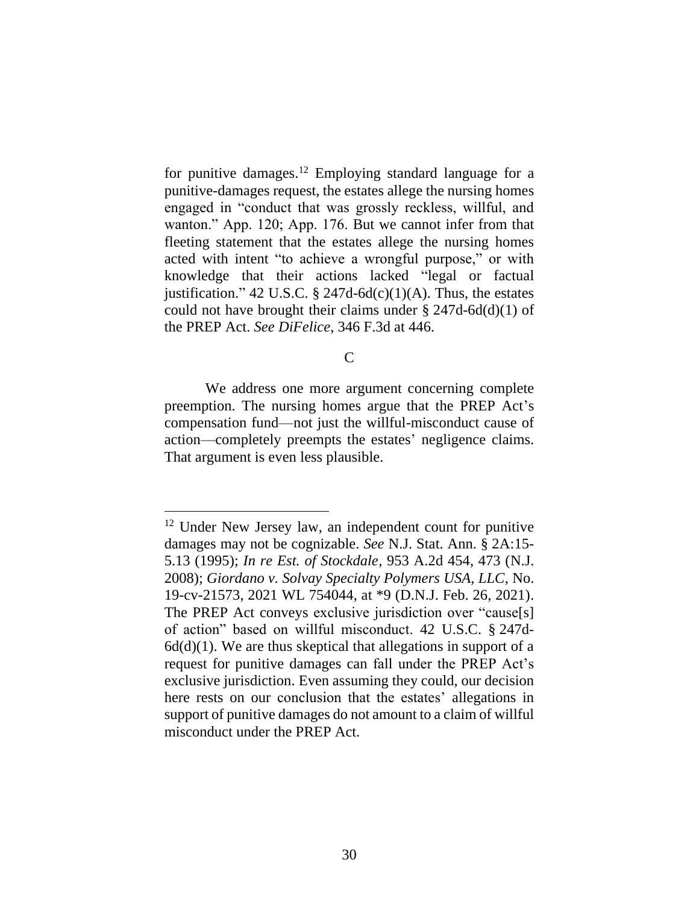for punitive damages.<sup>12</sup> Employing standard language for a punitive-damages request, the estates allege the nursing homes engaged in "conduct that was grossly reckless, willful, and wanton." App. 120; App. 176. But we cannot infer from that fleeting statement that the estates allege the nursing homes acted with intent "to achieve a wrongful purpose," or with knowledge that their actions lacked "legal or factual justification." 42 U.S.C. § 247d-6d $(c)(1)(A)$ . Thus, the estates could not have brought their claims under  $\S 247d - 6d(d)(1)$  of the PREP Act. *See DiFelice*, 346 F.3d at 446.

C

We address one more argument concerning complete preemption. The nursing homes argue that the PREP Act's compensation fund—not just the willful-misconduct cause of action—completely preempts the estates' negligence claims. That argument is even less plausible.

<sup>&</sup>lt;sup>12</sup> Under New Jersey law, an independent count for punitive damages may not be cognizable. *See* N.J. Stat. Ann. § 2A:15- 5.13 (1995); *In re Est. of Stockdale*, 953 A.2d 454, 473 (N.J. 2008); *Giordano v. Solvay Specialty Polymers USA, LLC*, No. 19-cv-21573, 2021 WL 754044, at \*9 (D.N.J. Feb. 26, 2021). The PREP Act conveys exclusive jurisdiction over "cause[s] of action" based on willful misconduct. 42 U.S.C. § 247d- $6d(d)(1)$ . We are thus skeptical that allegations in support of a request for punitive damages can fall under the PREP Act's exclusive jurisdiction. Even assuming they could, our decision here rests on our conclusion that the estates' allegations in support of punitive damages do not amount to a claim of willful misconduct under the PREP Act.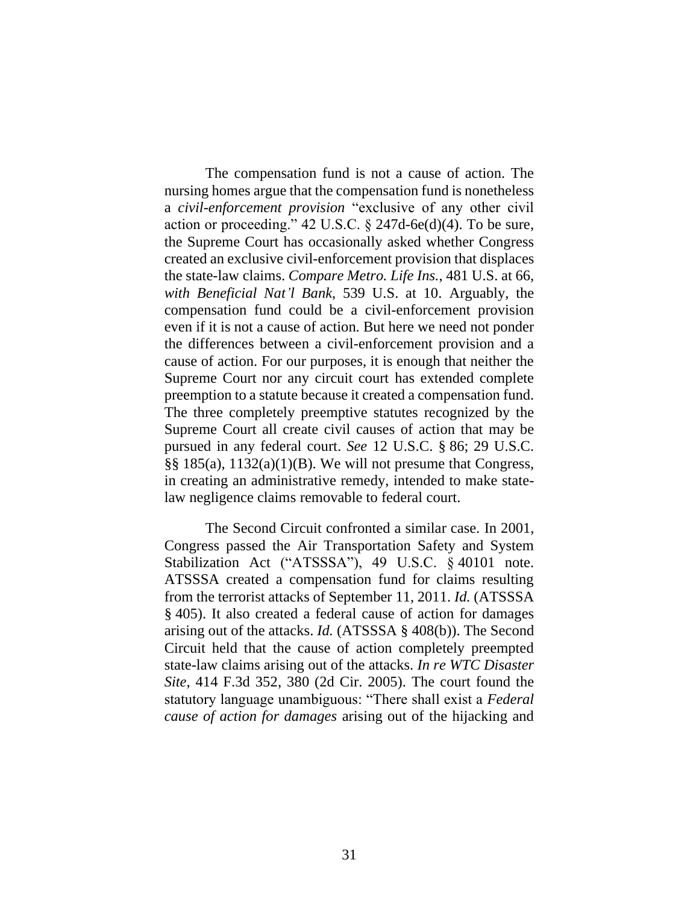The compensation fund is not a cause of action. The nursing homes argue that the compensation fund is nonetheless a *civil-enforcement provision* "exclusive of any other civil action or proceeding." 42 U.S.C.  $\S$  247d-6e(d)(4). To be sure, the Supreme Court has occasionally asked whether Congress created an exclusive civil-enforcement provision that displaces the state-law claims. *Compare Metro. Life Ins.*, 481 U.S. at 66, *with Beneficial Nat'l Bank*, 539 U.S. at 10. Arguably, the compensation fund could be a civil-enforcement provision even if it is not a cause of action. But here we need not ponder the differences between a civil-enforcement provision and a cause of action. For our purposes, it is enough that neither the Supreme Court nor any circuit court has extended complete preemption to a statute because it created a compensation fund. The three completely preemptive statutes recognized by the Supreme Court all create civil causes of action that may be pursued in any federal court. *See* 12 U.S.C. § 86; 29 U.S.C. §§ 185(a), 1132(a)(1)(B). We will not presume that Congress, in creating an administrative remedy, intended to make statelaw negligence claims removable to federal court.

The Second Circuit confronted a similar case. In 2001, Congress passed the Air Transportation Safety and System Stabilization Act ("ATSSSA"), 49 U.S.C. § 40101 note. ATSSSA created a compensation fund for claims resulting from the terrorist attacks of September 11, 2011. *Id.* (ATSSSA § 405). It also created a federal cause of action for damages arising out of the attacks. *Id.* (ATSSSA § 408(b)). The Second Circuit held that the cause of action completely preempted state-law claims arising out of the attacks. *In re WTC Disaster Site*, 414 F.3d 352, 380 (2d Cir. 2005). The court found the statutory language unambiguous: "There shall exist a *Federal cause of action for damages* arising out of the hijacking and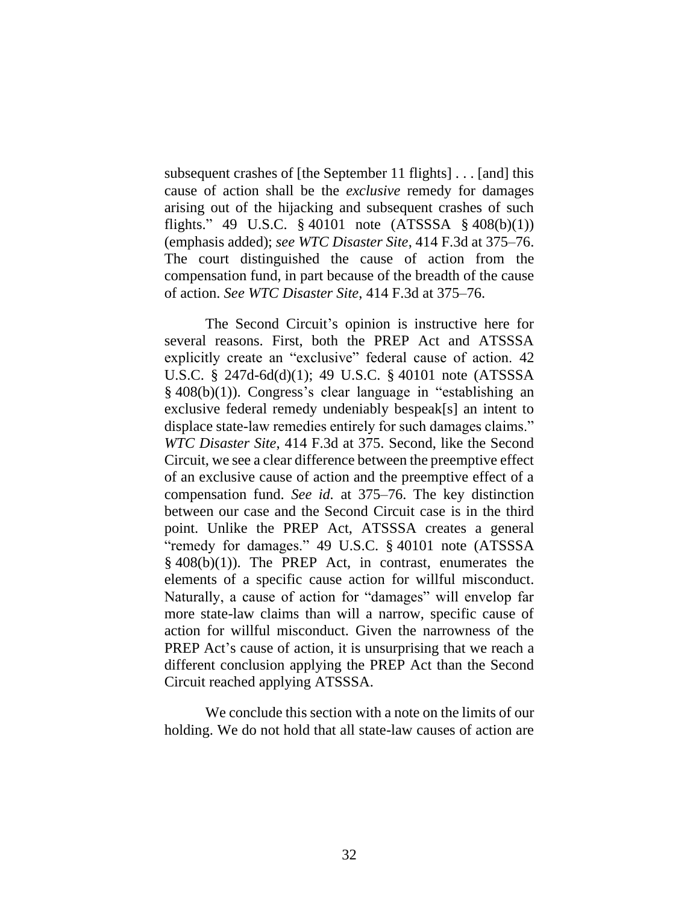subsequent crashes of [the September 11 flights] . . . [and] this cause of action shall be the *exclusive* remedy for damages arising out of the hijacking and subsequent crashes of such flights." 49 U.S.C.  $\S 40101$  note (ATSSSA  $\S 408(b)(1)$ ) (emphasis added); *see WTC Disaster Site*, 414 F.3d at 375–76. The court distinguished the cause of action from the compensation fund, in part because of the breadth of the cause of action. *See WTC Disaster Site*, 414 F.3d at 375–76.

The Second Circuit's opinion is instructive here for several reasons. First, both the PREP Act and ATSSSA explicitly create an "exclusive" federal cause of action. 42 U.S.C. § 247d-6d(d)(1); 49 U.S.C. § 40101 note (ATSSSA § 408(b)(1)). Congress's clear language in "establishing an exclusive federal remedy undeniably bespeak[s] an intent to displace state-law remedies entirely for such damages claims." *WTC Disaster Site*, 414 F.3d at 375. Second, like the Second Circuit, we see a clear difference between the preemptive effect of an exclusive cause of action and the preemptive effect of a compensation fund. *See id.* at 375–76. The key distinction between our case and the Second Circuit case is in the third point. Unlike the PREP Act, ATSSSA creates a general "remedy for damages." 49 U.S.C. § 40101 note (ATSSSA  $§$  408(b)(1)). The PREP Act, in contrast, enumerates the elements of a specific cause action for willful misconduct. Naturally, a cause of action for "damages" will envelop far more state-law claims than will a narrow, specific cause of action for willful misconduct. Given the narrowness of the PREP Act's cause of action, it is unsurprising that we reach a different conclusion applying the PREP Act than the Second Circuit reached applying ATSSSA.

We conclude this section with a note on the limits of our holding. We do not hold that all state-law causes of action are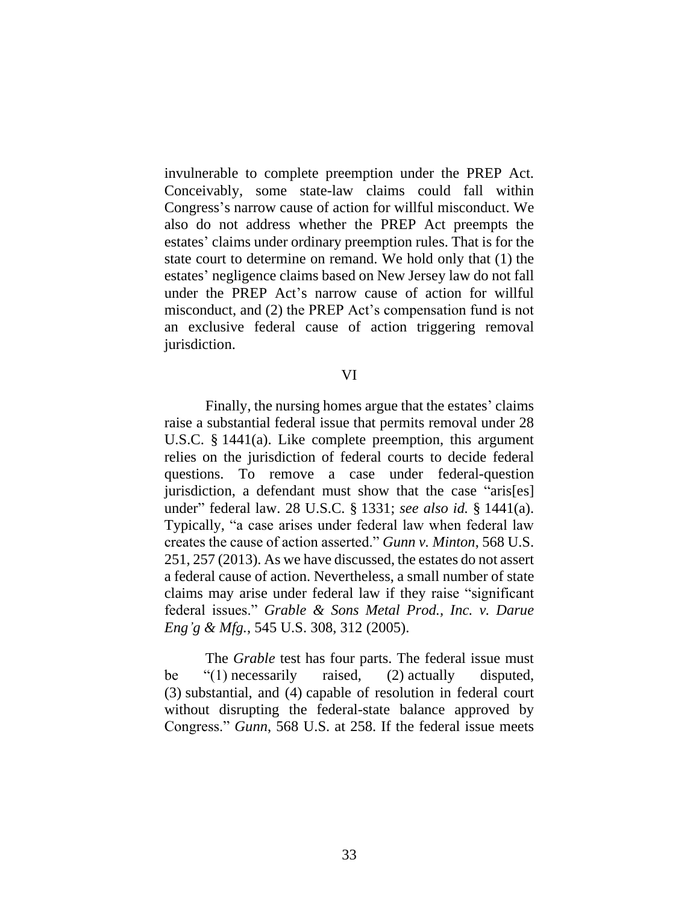invulnerable to complete preemption under the PREP Act. Conceivably, some state-law claims could fall within Congress's narrow cause of action for willful misconduct. We also do not address whether the PREP Act preempts the estates' claims under ordinary preemption rules. That is for the state court to determine on remand. We hold only that (1) the estates' negligence claims based on New Jersey law do not fall under the PREP Act's narrow cause of action for willful misconduct, and (2) the PREP Act's compensation fund is not an exclusive federal cause of action triggering removal jurisdiction.

#### VI

Finally, the nursing homes argue that the estates' claims raise a substantial federal issue that permits removal under 28 U.S.C. § 1441(a). Like complete preemption, this argument relies on the jurisdiction of federal courts to decide federal questions. To remove a case under federal-question jurisdiction, a defendant must show that the case "aris[es] under" federal law. 28 U.S.C. § 1331; *see also id.* § 1441(a). Typically, "a case arises under federal law when federal law creates the cause of action asserted." *Gunn v. Minton*, 568 U.S. 251, 257 (2013). As we have discussed, the estates do not assert a federal cause of action. Nevertheless, a small number of state claims may arise under federal law if they raise "significant federal issues." *Grable & Sons Metal Prod., Inc. v. Darue Eng'g & Mfg.*, 545 U.S. 308, 312 (2005).

The *Grable* test has four parts. The federal issue must be "(1) necessarily raised, (2) actually disputed, (3) substantial, and (4) capable of resolution in federal court without disrupting the federal-state balance approved by Congress." *Gunn*, 568 U.S. at 258. If the federal issue meets